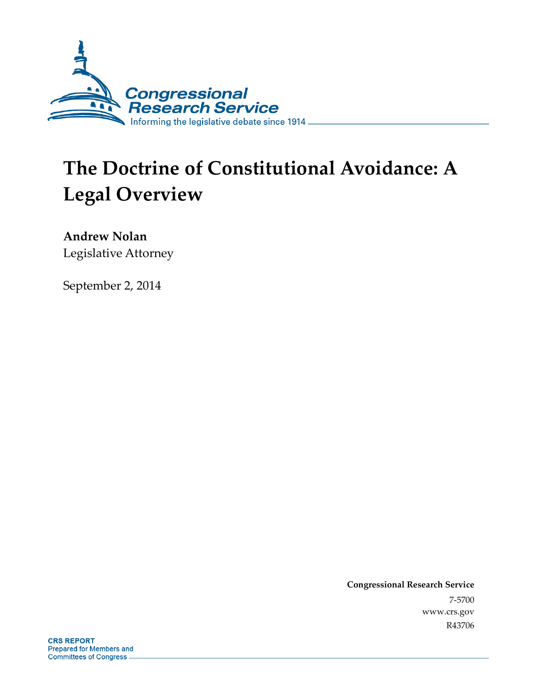

# **The Doctrine of Constitutional Avoidance: A Legal Overview**

**Andrew Nolan**  Legislative Attorney

September 2, 2014

**Congressional Research Service**  7-5700 www.crs.gov R43706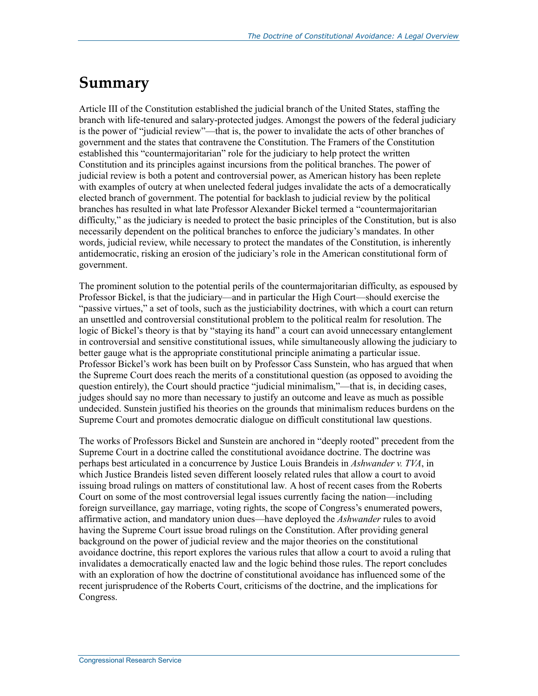# **Summary**

Article III of the Constitution established the judicial branch of the United States, staffing the branch with life-tenured and salary-protected judges. Amongst the powers of the federal judiciary is the power of "judicial review"—that is, the power to invalidate the acts of other branches of government and the states that contravene the Constitution. The Framers of the Constitution established this "countermajoritarian" role for the judiciary to help protect the written Constitution and its principles against incursions from the political branches. The power of judicial review is both a potent and controversial power, as American history has been replete with examples of outcry at when unelected federal judges invalidate the acts of a democratically elected branch of government. The potential for backlash to judicial review by the political branches has resulted in what late Professor Alexander Bickel termed a "countermajoritarian difficulty," as the judiciary is needed to protect the basic principles of the Constitution, but is also necessarily dependent on the political branches to enforce the judiciary's mandates. In other words, judicial review, while necessary to protect the mandates of the Constitution, is inherently antidemocratic, risking an erosion of the judiciary's role in the American constitutional form of government.

The prominent solution to the potential perils of the countermajoritarian difficulty, as espoused by Professor Bickel, is that the judiciary—and in particular the High Court—should exercise the "passive virtues," a set of tools, such as the justiciability doctrines, with which a court can return an unsettled and controversial constitutional problem to the political realm for resolution. The logic of Bickel's theory is that by "staying its hand" a court can avoid unnecessary entanglement in controversial and sensitive constitutional issues, while simultaneously allowing the judiciary to better gauge what is the appropriate constitutional principle animating a particular issue. Professor Bickel's work has been built on by Professor Cass Sunstein, who has argued that when the Supreme Court does reach the merits of a constitutional question (as opposed to avoiding the question entirely), the Court should practice "judicial minimalism,"—that is, in deciding cases, judges should say no more than necessary to justify an outcome and leave as much as possible undecided. Sunstein justified his theories on the grounds that minimalism reduces burdens on the Supreme Court and promotes democratic dialogue on difficult constitutional law questions.

The works of Professors Bickel and Sunstein are anchored in "deeply rooted" precedent from the Supreme Court in a doctrine called the constitutional avoidance doctrine. The doctrine was perhaps best articulated in a concurrence by Justice Louis Brandeis in *Ashwander v. TVA*, in which Justice Brandeis listed seven different loosely related rules that allow a court to avoid issuing broad rulings on matters of constitutional law*.* A host of recent cases from the Roberts Court on some of the most controversial legal issues currently facing the nation—including foreign surveillance, gay marriage, voting rights, the scope of Congress's enumerated powers, affirmative action, and mandatory union dues—have deployed the *Ashwander* rules to avoid having the Supreme Court issue broad rulings on the Constitution. After providing general background on the power of judicial review and the major theories on the constitutional avoidance doctrine, this report explores the various rules that allow a court to avoid a ruling that invalidates a democratically enacted law and the logic behind those rules. The report concludes with an exploration of how the doctrine of constitutional avoidance has influenced some of the recent jurisprudence of the Roberts Court, criticisms of the doctrine, and the implications for Congress.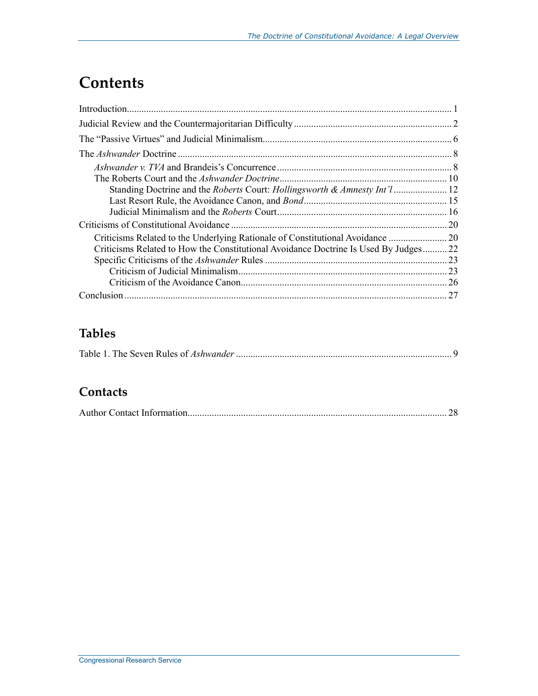# **Contents**

|                                                                                      | <b>20</b> |
|--------------------------------------------------------------------------------------|-----------|
|                                                                                      |           |
| Criticisms Related to How the Constitutional Avoidance Doctrine Is Used By Judges 22 |           |
|                                                                                      |           |
|                                                                                      |           |
|                                                                                      | 26        |
|                                                                                      | 27        |

## **Tables**

|--|--|

### **Contacts**

|--|--|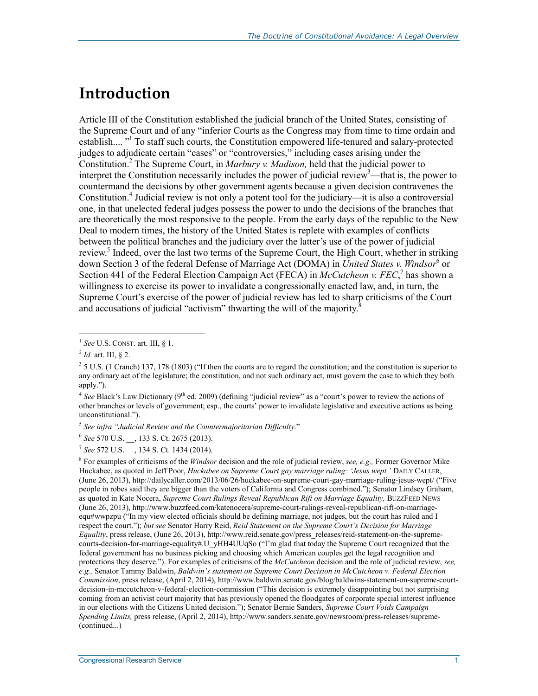# **Introduction**

Article III of the Constitution established the judicial branch of the United States, consisting of the Supreme Court and of any "inferior Courts as the Congress may from time to time ordain and establish.... "<sup>1</sup> To staff such courts, the Constitution empowered life-tenured and salary-protected judges to adjudicate certain "cases" or "controversies," including cases arising under the Constitution.2 The Supreme Court, in *Marbury v. Madison,* held that the judicial power to interpret the Constitution necessarily includes the power of judicial review<sup>3</sup>—that is, the power to countermand the decisions by other government agents because a given decision contravenes the Constitution.4 Judicial review is not only a potent tool for the judiciary—it is also a controversial one, in that unelected federal judges possess the power to undo the decisions of the branches that are theoretically the most responsive to the people. From the early days of the republic to the New Deal to modern times, the history of the United States is replete with examples of conflicts between the political branches and the judiciary over the latter's use of the power of judicial review.<sup>5</sup> Indeed, over the last two terms of the Supreme Court, the High Court, whether in striking down Section 3 of the federal Defense of Marriage Act (DOMA) in *United States v. Windsor*<sup>6</sup> or Section 441 of the Federal Election Campaign Act (FECA) in *McCutcheon v. FEC*,<sup>7</sup> has shown a willingness to exercise its power to invalidate a congressionally enacted law, and, in turn, the Supreme Court's exercise of the power of judicial review has led to sharp criticisms of the Court and accusations of judicial "activism" thwarting the will of the majority.<sup>8</sup>

1

8 For examples of criticisms of the *Windsor* decision and the role of judicial review, *see, e.g.,* Former Governor Mike Huckabee, as quoted in Jeff Poor, *Huckabee on Supreme Court gay marriage ruling: 'Jesus wept,'* DAILY CALLER, (June 26, 2013), http://dailycaller.com/2013/06/26/huckabee-on-supreme-court-gay-marriage-ruling-jesus-wept/ ("Five people in robes said they are bigger than the voters of California and Congress combined."); Senator Lindsey Graham, as quoted in Kate Nocera, *Supreme Court Rulings Reveal Republican Rift on Marriage Equality,* BUZZFEED NEWS (June 26, 2013), http://www.buzzfeed.com/katenocera/supreme-court-rulings-reveal-republican-rift-on-marriageequ#wwpzpu ("In my view elected officials should be defining marriage, not judges, but the court has ruled and I respect the court."); *but see* Senator Harry Reid, *Reid Statement on the Supreme Court's Decision for Marriage Equality*, press release, (June 26, 2013), http://www.reid.senate.gov/press\_releases/reid-statement-on-the-supremecourts-decision-for-marriage-equality#.U\_yHH4UUqSo ("I'm glad that today the Supreme Court recognized that the federal government has no business picking and choosing which American couples get the legal recognition and protections they deserve."). For examples of criticisms of the *McCutcheon* decision and the role of judicial review, *see, e.g.,* Senator Tammy Baldwin, *Baldwin's statement on Supreme Court Decision in McCutcheon v. Federal Election Commission*, press release, (April 2, 2014), http://www.baldwin.senate.gov/blog/baldwins-statement-on-supreme-courtdecision-in-mccutcheon-v-federal-election-commission ("This decision is extremely disappointing but not surprising coming from an activist court majority that has previously opened the floodgates of corporate special interest influence in our elections with the Citizens United decision."); Senator Bernie Sanders, *Supreme Court Voids Campaign Spending Limits,* press release, (April 2, 2014), http://www.sanders.senate.gov/newsroom/press-releases/supreme- (continued...)

<sup>1</sup> *See* U.S. CONST. art. III, § 1.

<sup>2</sup> *Id.* art. III, § 2.

 $3 \times 5$  U.S. (1 Cranch) 137, 178 (1803) ("If then the courts are to regard the constitution; and the constitution is superior to any ordinary act of the legislature; the constitution, and not such ordinary act, must govern the case to which they both apply.").

<sup>&</sup>lt;sup>4</sup> See Black's Law Dictionary (9<sup>th</sup> ed. 2009) (defining "judicial review" as a "court's power to review the actions of other branches or levels of government; esp., the courts' power to invalidate legislative and executive actions as being unconstitutional.").

<sup>5</sup> *See infra "Judicial Review and the Countermajoritarian Difficulty*."

<sup>6</sup> *See* 570 U.S. \_\_, 133 S. Ct. 2675 (2013).

<sup>7</sup> *See* 572 U.S. \_\_, 134 S. Ct. 1434 (2014).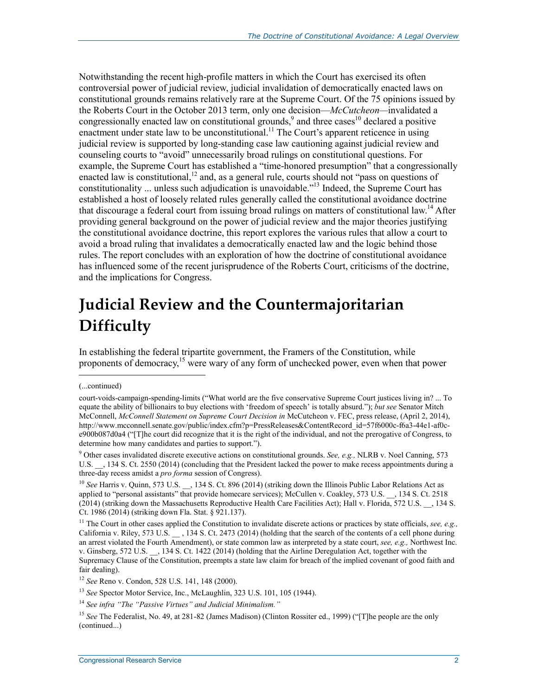Notwithstanding the recent high-profile matters in which the Court has exercised its often controversial power of judicial review, judicial invalidation of democratically enacted laws on constitutional grounds remains relatively rare at the Supreme Court. Of the 75 opinions issued by the Roberts Court in the October 2013 term, only one decision—*McCutcheon—*invalidated a congressionally enacted law on constitutional grounds,<sup>9</sup> and three cases<sup>10</sup> declared a positive enactment under state law to be unconstitutional.<sup>11</sup> The Court's apparent reticence in using judicial review is supported by long-standing case law cautioning against judicial review and counseling courts to "avoid" unnecessarily broad rulings on constitutional questions. For example, the Supreme Court has established a "time-honored presumption" that a congressionally enacted law is constitutional,<sup>12</sup> and, as a general rule, courts should not "pass on questions of constitutionality ... unless such adjudication is unavoidable.<sup>"13</sup> Indeed, the Supreme Court has established a host of loosely related rules generally called the constitutional avoidance doctrine that discourage a federal court from issuing broad rulings on matters of constitutional law.<sup>14</sup> After providing general background on the power of judicial review and the major theories justifying the constitutional avoidance doctrine, this report explores the various rules that allow a court to avoid a broad ruling that invalidates a democratically enacted law and the logic behind those rules. The report concludes with an exploration of how the doctrine of constitutional avoidance has influenced some of the recent jurisprudence of the Roberts Court, criticisms of the doctrine, and the implications for Congress.

# **Judicial Review and the Countermajoritarian Difficulty**

In establishing the federal tripartite government, the Framers of the Constitution, while proponents of democracy,<sup>15</sup> were wary of any form of unchecked power, even when that power

<sup>(...</sup>continued)

court-voids-campaign-spending-limits ("What world are the five conservative Supreme Court justices living in? ... To equate the ability of billionairs to buy elections with 'freedom of speech' is totally absurd."); *but see* Senator Mitch McConnell, *McConnell Statement on Supreme Court Decision in* McCutcheon v. FEC, press release, (April 2, 2014), http://www.mcconnell.senate.gov/public/index.cfm?p=PressReleases&ContentRecord\_id=57f6000c-f6a3-44e1-af0ce900b087d0a4 ("[T]he court did recognize that it is the right of the individual, and not the prerogative of Congress, to determine how many candidates and parties to support.").

<sup>9</sup> Other cases invalidated discrete executive actions on constitutional grounds. *See, e.g.,* NLRB v. Noel Canning, 573 U.S.  $\,$ , 134 S. Ct. 2550 (2014) (concluding that the President lacked the power to make recess appointments during a three-day recess amidst a *pro forma* session of Congress).

<sup>&</sup>lt;sup>10</sup> See Harris v. Quinn, 573 U.S. , 134 S. Ct. 896 (2014) (striking down the Illinois Public Labor Relations Act as applied to "personal assistants" that provide homecare services); McCullen v. Coakley, 573 U.S. \_\_, 134 S. Ct. 2518 (2014) (striking down the Massachusetts Reproductive Health Care Facilities Act); Hall v. Florida, 572 U.S. \_\_, 134 S. Ct. 1986 (2014) (striking down Fla. Stat. § 921.137).

<sup>11</sup> The Court in other cases applied the Constitution to invalidate discrete actions or practices by state officials, *see, e.g.,*  California v. Riley, 573 U.S. \_\_ , 134 S. Ct. 2473 (2014) (holding that the search of the contents of a cell phone during an arrest violated the Fourth Amendment), or state common law as interpreted by a state court, *see, e.g.,* Northwest Inc. v. Ginsberg, 572 U.S. \_\_, 134 S. Ct. 1422 (2014) (holding that the Airline Deregulation Act, together with the Supremacy Clause of the Constitution, preempts a state law claim for breach of the implied covenant of good faith and fair dealing).

<sup>12</sup> *See* Reno v. Condon, 528 U.S. 141, 148 (2000).

<sup>13</sup> *See* Spector Motor Service, Inc., McLaughlin, 323 U.S. 101, 105 (1944).

<sup>14</sup> *See infra "The "Passive Virtues" and Judicial Minimalism."*

<sup>&</sup>lt;sup>15</sup> See The Federalist, No. 49, at 281-82 (James Madison) (Clinton Rossiter ed., 1999) ("[T]he people are the only (continued...)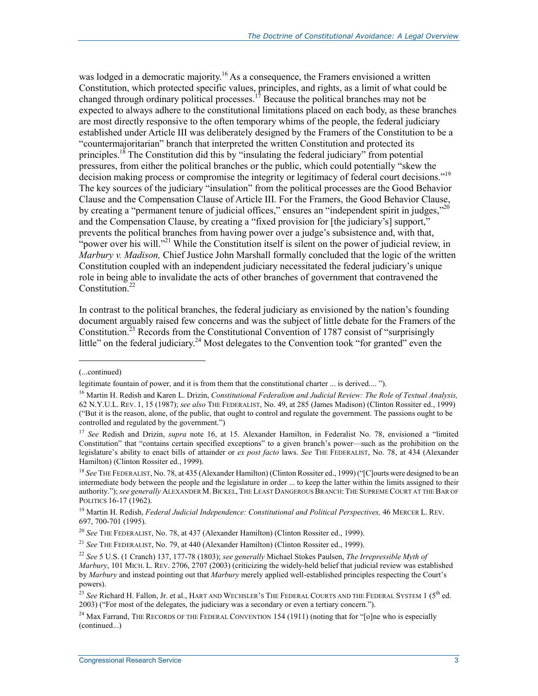was lodged in a democratic majority.<sup>16</sup> As a consequence, the Framers envisioned a written Constitution, which protected specific values, principles, and rights, as a limit of what could be changed through ordinary political processes.<sup>17</sup> Because the political branches may not be expected to always adhere to the constitutional limitations placed on each body, as these branches are most directly responsive to the often temporary whims of the people, the federal judiciary established under Article III was deliberately designed by the Framers of the Constitution to be a "countermajoritarian" branch that interpreted the written Constitution and protected its principles.<sup>18</sup> The Constitution did this by "insulating the federal judiciary" from potential pressures, from either the political branches or the public, which could potentially "skew the decision making process or compromise the integrity or legitimacy of federal court decisions."19 The key sources of the judiciary "insulation" from the political processes are the Good Behavior Clause and the Compensation Clause of Article III. For the Framers, the Good Behavior Clause, by creating a "permanent tenure of judicial offices," ensures an "independent spirit in judges,"<sup>20</sup> and the Compensation Clause, by creating a "fixed provision for [the judiciary's] support," prevents the political branches from having power over a judge's subsistence and, with that, "power over his will."<sup>21</sup> While the Constitution itself is silent on the power of judicial review, in *Marbury v. Madison,* Chief Justice John Marshall formally concluded that the logic of the written Constitution coupled with an independent judiciary necessitated the federal judiciary's unique role in being able to invalidate the acts of other branches of government that contravened the Constitution<sup>22</sup>

In contrast to the political branches, the federal judiciary as envisioned by the nation's founding document arguably raised few concerns and was the subject of little debate for the Framers of the Constitution.<sup>23</sup> Records from the Constitutional Convention of 1787 consist of "surprisingly little" on the federal judiciary.<sup>24</sup> Most delegates to the Convention took "for granted" even the

<sup>(...</sup>continued)

legitimate fountain of power, and it is from them that the constitutional charter ... is derived.... ").

<sup>16</sup> Martin H. Redish and Karen L. Drizin, *Constitutional Federalism and Judicial Review: The Role of Textual Analysis,*  62 N.Y.U.L. REV. 1, 15 (1987); *see also* THE FEDERALIST, No. 49, at 285 (James Madison) (Clinton Rossiter ed., 1999) ("But it is the reason, alone, of the public, that ought to control and regulate the government. The passions ought to be controlled and regulated by the government.")

<sup>&</sup>lt;sup>17</sup> See Redish and Drizin, *supra* note 16, at 15. Alexander Hamilton, in Federalist No. 78, envisioned a "limited Constitution" that "contains certain specified exceptions" to a given branch's power—such as the prohibition on the legislature's ability to enact bills of attainder or *ex post facto* laws. *See* THE FEDERALIST, No. 78, at 434 (Alexander Hamilton) (Clinton Rossiter ed., 1999).

<sup>&</sup>lt;sup>18</sup> See THE FEDERALIST, No. 78, at 435 (Alexander Hamilton) (Clinton Rossiter ed., 1999) ("[C]ourts were designed to be an intermediate body between the people and the legislature in order ... to keep the latter within the limits assigned to their authority."); *see generally* ALEXANDER M.BICKEL, THE LEAST DANGEROUS BRANCH: THE SUPREME COURT AT THE BAR OF POLITICS 16-17 (1962).

<sup>&</sup>lt;sup>19</sup> Martin H. Redish, *Federal Judicial Independence: Constitutional and Political Perspectives, 46 MERCER L. REV.* 697, 700-701 (1995).

<sup>20</sup> *See* THE FEDERALIST, No. 78, at 437 (Alexander Hamilton) (Clinton Rossiter ed., 1999).

<sup>21</sup> *See* THE FEDERALIST, No. 79, at 440 (Alexander Hamilton) (Clinton Rossiter ed., 1999).

<sup>22</sup> *See* 5 U.S. (1 Cranch) 137, 177-78 (1803); *see generally* Michael Stokes Paulsen, *The Irrepressible Myth of Marbury*, 101 MICH. L. REV. 2706, 2707 (2003) (criticizing the widely-held belief that judicial review was established by *Marbury* and instead pointing out that *Marbury* merely applied well-established principles respecting the Court's powers).

<sup>&</sup>lt;sup>23</sup> See Richard H. Fallon, Jr. et al., HART AND WECHSLER'S THE FEDERAL COURTS AND THE FEDERAL SYSTEM 1 (5<sup>th</sup> ed. 2003) ("For most of the delegates, the judiciary was a secondary or even a tertiary concern.").

<sup>&</sup>lt;sup>24</sup> Max Farrand, THE RECORDS OF THE FEDERAL CONVENTION 154 (1911) (noting that for "[o]ne who is especially (continued...)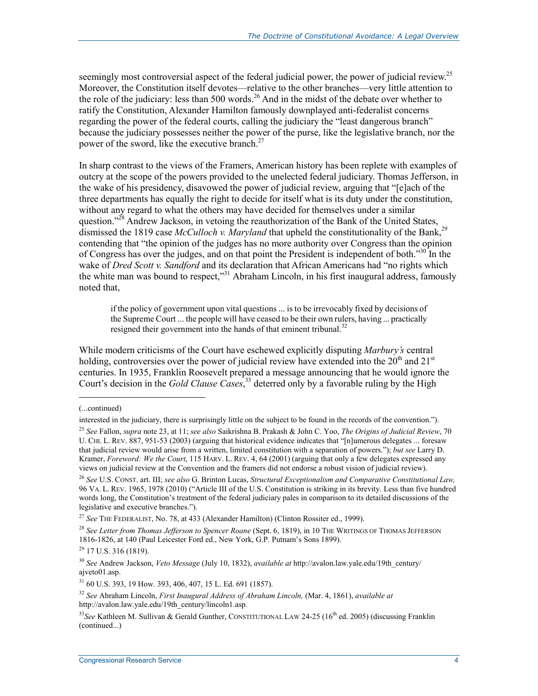seemingly most controversial aspect of the federal judicial power, the power of judicial review.<sup>25</sup> Moreover, the Constitution itself devotes—relative to the other branches—very little attention to the role of the judiciary: less than 500 words.<sup>26</sup> And in the midst of the debate over whether to ratify the Constitution, Alexander Hamilton famously downplayed anti-federalist concerns regarding the power of the federal courts, calling the judiciary the "least dangerous branch" because the judiciary possesses neither the power of the purse, like the legislative branch, nor the power of the sword, like the executive branch. $27$ 

In sharp contrast to the views of the Framers, American history has been replete with examples of outcry at the scope of the powers provided to the unelected federal judiciary. Thomas Jefferson, in the wake of his presidency, disavowed the power of judicial review, arguing that "[e]ach of the three departments has equally the right to decide for itself what is its duty under the constitution, without any regard to what the others may have decided for themselves under a similar question."<sup>28</sup> Andrew Jackson, in vetoing the reauthorization of the Bank of the United States, dismissed the 1819 case *McCulloch v. Maryland* that upheld the constitutionality of the Bank,<sup>29</sup> contending that "the opinion of the judges has no more authority over Congress than the opinion of Congress has over the judges, and on that point the President is independent of both."30 In the wake of *Dred Scott v. Sandford* and its declaration that African Americans had "no rights which the white man was bound to respect,"<sup>31</sup> Abraham Lincoln, in his first inaugural address, famously noted that,

if the policy of government upon vital questions ... is to be irrevocably fixed by decisions of the Supreme Court ... the people will have ceased to be their own rulers, having ... practically resigned their government into the hands of that eminent tribunal.<sup>32</sup>

While modern criticisms of the Court have eschewed explicitly disputing *Marbury's* central holding, controversies over the power of judicial review have extended into the  $20<sup>th</sup>$  and  $21<sup>st</sup>$ centuries. In 1935, Franklin Roosevelt prepared a message announcing that he would ignore the Court's decision in the *Gold Clause Cases*, 33 deterred only by a favorable ruling by the High

<sup>(...</sup>continued)

interested in the judiciary, there is surprisingly little on the subject to be found in the records of the convention.").

<sup>25</sup> *See* Fallon, *supra* note 23, at 11; *see also* Saikrishna B. Prakash & John C. Yoo, *The Origins of Judicial Review*, 70 U. CHI. L. REV. 887, 951-53 (2003) (arguing that historical evidence indicates that "[n]umerous delegates ... foresaw that judicial review would arise from a written, limited constitution with a separation of powers."); *but see* Larry D. Kramer, *Foreword: We the Court*, 115 HARV. L. REV. 4, 64 (2001) (arguing that only a few delegates expressed any views on judicial review at the Convention and the framers did not endorse a robust vision of judicial review).

<sup>26</sup> *See* U.S. CONST. art. III; *see also* G. Brinton Lucas, *Structural Exceptionalism and Comparative Constitutional Law,*  96 VA. L. REV. 1965, 1978 (2010) ("Article III of the U.S. Constitution is striking in its brevity. Less than five hundred words long, the Constitution's treatment of the federal judiciary pales in comparison to its detailed discussions of the legislative and executive branches.").

<sup>27</sup> *See* THE FEDERALIST, No. 78, at 433 (Alexander Hamilton) (Clinton Rossiter ed., 1999).

<sup>28</sup> *See Letter from Thomas Jefferson to Spencer Roane* (Sept. 6, 1819), in 10 THE WRITINGS OF THOMAS JEFFERSON 1816-1826, at 140 (Paul Leicester Ford ed., New York, G.P. Putnam's Sons 1899).

 $^{29}$  17 U.S. 316 (1819).

<sup>30</sup> *See* Andrew Jackson, *Veto Message* (July 10, 1832), *available at* http://avalon.law.yale.edu/19th\_century/ ajveto01.asp.

<sup>31 60</sup> U.S. 393, 19 How. 393, 406, 407, 15 L. Ed. 691 (1857).

<sup>32</sup> *See* Abraham Lincoln, *First Inaugural Address of Abraham Lincoln,* (Mar. 4, 1861), *available at*  http://avalon.law.yale.edu/19th\_century/lincoln1.asp.

<sup>&</sup>lt;sup>33</sup>See Kathleen M. Sullivan & Gerald Gunther, CONSTITUTIONAL LAW 24-25 (16<sup>th</sup> ed. 2005) (discussing Franklin (continued...)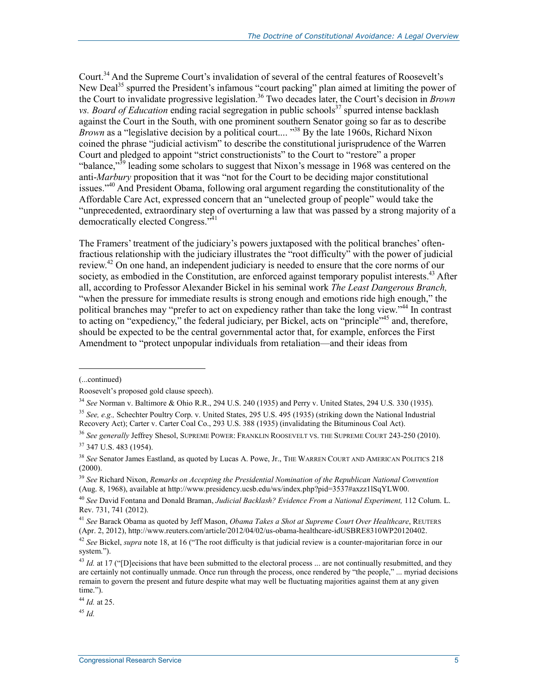Court.34 And the Supreme Court's invalidation of several of the central features of Roosevelt's New Deal<sup>35</sup> spurred the President's infamous "court packing" plan aimed at limiting the power of the Court to invalidate progressive legislation.36 Two decades later, the Court's decision in *Brown vs. Board of Education* ending racial segregation in public schools<sup>37</sup> spurred intense backlash against the Court in the South, with one prominent southern Senator going so far as to describe *Brown* as a "legislative decision by a political court.... "38 By the late 1960s, Richard Nixon coined the phrase "judicial activism" to describe the constitutional jurisprudence of the Warren Court and pledged to appoint "strict constructionists" to the Court to "restore" a proper "balance, $\mathbb{R}^{39}$  leading some scholars to suggest that Nixon's message in 1968 was centered on the anti-*Marbury* proposition that it was "not for the Court to be deciding major constitutional issues."<sup>40</sup> And President Obama, following oral argument regarding the constitutionality of the Affordable Care Act, expressed concern that an "unelected group of people" would take the "unprecedented, extraordinary step of overturning a law that was passed by a strong majority of a democratically elected Congress."<sup>41</sup>

The Framers' treatment of the judiciary's powers juxtaposed with the political branches' oftenfractious relationship with the judiciary illustrates the "root difficulty" with the power of judicial review.<sup>42</sup> On one hand, an independent judiciary is needed to ensure that the core norms of our society, as embodied in the Constitution, are enforced against temporary populist interests.<sup>43</sup> After all, according to Professor Alexander Bickel in his seminal work *The Least Dangerous Branch,*  "when the pressure for immediate results is strong enough and emotions ride high enough," the political branches may "prefer to act on expediency rather than take the long view."44 In contrast to acting on "expediency," the federal judiciary, per Bickel, acts on "principle"<sup>45</sup> and, therefore, should be expected to be the central governmental actor that, for example, enforces the First Amendment to "protect unpopular individuals from retaliation—and their ideas from

1

<sup>44</sup> *Id.* at 25.

<sup>45</sup> *Id.* 

<sup>(...</sup>continued)

Roosevelt's proposed gold clause speech).

<sup>34</sup> *See* Norman v. Baltimore & Ohio R.R., 294 U.S. 240 (1935) and Perry v. United States, 294 U.S. 330 (1935).

<sup>35</sup> *See, e.g.,* Schechter Poultry Corp. v. United States, 295 U.S. 495 (1935) (striking down the National Industrial Recovery Act); Carter v. Carter Coal Co., 293 U.S. 388 (1935) (invalidating the Bituminous Coal Act).

<sup>36</sup> *See generally* Jeffrey Shesol, SUPREME POWER: FRANKLIN ROOSEVELT VS. THE SUPREME COURT 243-250 (2010). 37 347 U.S. 483 (1954).

<sup>38</sup> *See* Senator James Eastland, as quoted by Lucas A. Powe, Jr., THE WARREN COURT AND AMERICAN POLITICS 218  $(2000).$ 

<sup>39</sup> *See* Richard Nixon, *Remarks on Accepting the Presidential Nomination of the Republican National Convention* (Aug. 8, 1968), available at http://www.presidency.ucsb.edu/ws/index.php?pid=3537#axzz1lSqYLW00.

<sup>40</sup> *See* David Fontana and Donald Braman, *Judicial Backlash? Evidence From a National Experiment,* 112 Colum. L. Rev. 731, 741 (2012).

<sup>41</sup> *See* Barack Obama as quoted by Jeff Mason, *Obama Takes a Shot at Supreme Court Over Healthcare*, REUTERS (Apr. 2, 2012), http://www.reuters.com/article/2012/04/02/us-obama-healthcare-idUSBRE8310WP20120402.

<sup>42</sup> *See* Bickel, *supra* note 18, at 16 ("The root difficulty is that judicial review is a counter-majoritarian force in our system.").

<sup>&</sup>lt;sup>43</sup> *Id.* at 17 ("[D]ecisions that have been submitted to the electoral process ... are not continually resubmitted, and they are certainly not continually unmade. Once run through the process, once rendered by "the people," ... myriad decisions remain to govern the present and future despite what may well be fluctuating majorities against them at any given time.").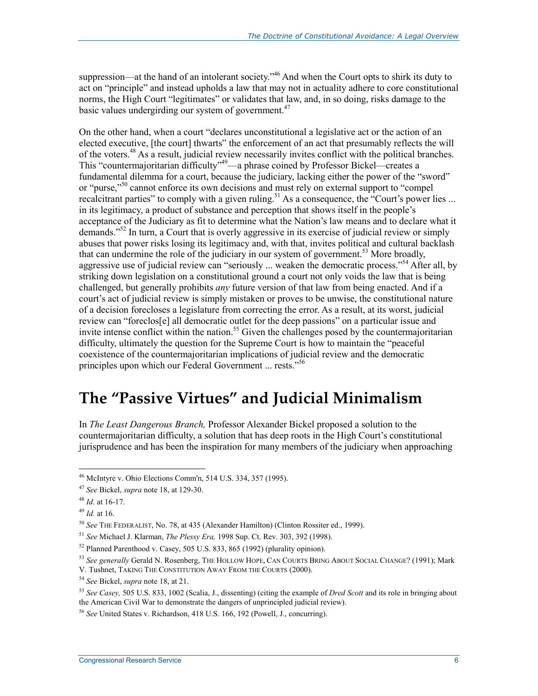suppression—at the hand of an intolerant society."<sup>46</sup> And when the Court opts to shirk its duty to act on "principle" and instead upholds a law that may not in actuality adhere to core constitutional norms, the High Court "legitimates" or validates that law, and, in so doing, risks damage to the basic values undergirding our system of government.<sup>47</sup>

On the other hand, when a court "declares unconstitutional a legislative act or the action of an elected executive, [the court] thwarts" the enforcement of an act that presumably reflects the will of the voters.48 As a result, judicial review necessarily invites conflict with the political branches. This "countermajoritarian difficulty"<sup>49</sup>—a phrase coined by Professor Bickel—creates a fundamental dilemma for a court, because the judiciary, lacking either the power of the "sword" or "purse,"<sup>50</sup> cannot enforce its own decisions and must rely on external support to "compel" recalcitrant parties" to comply with a given ruling.<sup>51</sup> As a consequence, the "Court's power lies ... in its legitimacy, a product of substance and perception that shows itself in the people's acceptance of the Judiciary as fit to determine what the Nation's law means and to declare what it demands."<sup>52</sup> In turn, a Court that is overly aggressive in its exercise of judicial review or simply abuses that power risks losing its legitimacy and, with that, invites political and cultural backlash that can undermine the role of the judiciary in our system of government.<sup>53</sup> More broadly, aggressive use of judicial review can "seriously ... weaken the democratic process."<sup>54</sup> After all, by striking down legislation on a constitutional ground a court not only voids the law that is being challenged, but generally prohibits *any* future version of that law from being enacted. And if a court's act of judicial review is simply mistaken or proves to be unwise, the constitutional nature of a decision forecloses a legislature from correcting the error. As a result, at its worst, judicial review can "foreclos[e] all democratic outlet for the deep passions" on a particular issue and invite intense conflict within the nation.<sup>55</sup> Given the challenges posed by the countermajoritarian difficulty, ultimately the question for the Supreme Court is how to maintain the "peaceful coexistence of the countermajoritarian implications of judicial review and the democratic principles upon which our Federal Government ... rests."<sup>56</sup>

# **The "Passive Virtues" and Judicial Minimalism**

In *The Least Dangerous Branch,* Professor Alexander Bickel proposed a solution to the countermajoritarian difficulty, a solution that has deep roots in the High Court's constitutional jurisprudence and has been the inspiration for many members of the judiciary when approaching

<u>.</u>

<sup>46</sup> McIntyre v. Ohio Elections Comm'n, 514 U.S. 334, 357 (1995).

<sup>47</sup> *See* Bickel, *supra* note 18, at 129-30.

<sup>48</sup> *Id*. at 16-17.

<sup>49</sup> *Id.* at 16.

<sup>50</sup> *See* THE FEDERALIST, No. 78, at 435 (Alexander Hamilton) (Clinton Rossiter ed., 1999).

<sup>51</sup> *See* Michael J. Klarman, *The Plessy Era,* 1998 Sup. Ct. Rev. 303, 392 (1998).

<sup>52</sup> Planned Parenthood v. Casey, 505 U.S. 833, 865 (1992) (plurality opinion).

<sup>53</sup> *See generally* Gerald N. Rosenberg, THE HOLLOW HOPE, CAN COURTS BRING ABOUT SOCIAL CHANGE? (1991); Mark

V. Tushnet, TAKING THE CONSTITUTION AWAY FROM THE COURTS (2000).

<sup>54</sup> *See* Bickel, *supra* note 18, at 21.

<sup>55</sup> *See Casey,* 505 U.S. 833, 1002 (Scalia, J., dissenting) (citing the example of *Dred Scott* and its role in bringing about the American Civil War to demonstrate the dangers of unprincipled judicial review).

<sup>56</sup> *See* United States v. Richardson, 418 U.S. 166, 192 (Powell, J., concurring).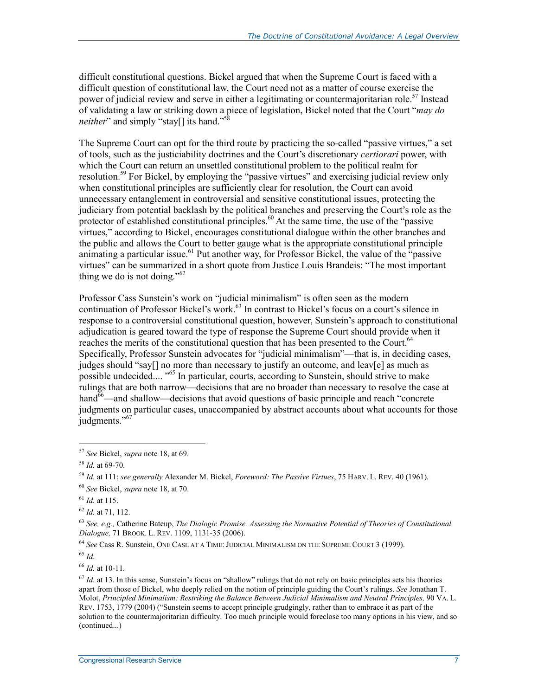difficult constitutional questions. Bickel argued that when the Supreme Court is faced with a difficult question of constitutional law, the Court need not as a matter of course exercise the power of judicial review and serve in either a legitimating or countermajoritarian role.<sup>57</sup> Instead of validating a law or striking down a piece of legislation, Bickel noted that the Court "*may do neither*" and simply "stay[] its hand."<sup>58</sup>

The Supreme Court can opt for the third route by practicing the so-called "passive virtues," a set of tools, such as the justiciability doctrines and the Court's discretionary *certiorari* power, with which the Court can return an unsettled constitutional problem to the political realm for resolution.<sup>59</sup> For Bickel, by employing the "passive virtues" and exercising judicial review only when constitutional principles are sufficiently clear for resolution, the Court can avoid unnecessary entanglement in controversial and sensitive constitutional issues, protecting the judiciary from potential backlash by the political branches and preserving the Court's role as the protector of established constitutional principles.<sup>60</sup> At the same time, the use of the "passive" virtues," according to Bickel, encourages constitutional dialogue within the other branches and the public and allows the Court to better gauge what is the appropriate constitutional principle animating a particular issue.<sup>61</sup> Put another way, for Professor Bickel, the value of the "passive" virtues" can be summarized in a short quote from Justice Louis Brandeis: "The most important thing we do is not doing." $62$ 

Professor Cass Sunstein's work on "judicial minimalism" is often seen as the modern continuation of Professor Bickel's work.<sup>63</sup> In contrast to Bickel's focus on a court's silence in response to a controversial constitutional question, however, Sunstein's approach to constitutional adjudication is geared toward the type of response the Supreme Court should provide when it reaches the merits of the constitutional question that has been presented to the Court.<sup>64</sup> Specifically, Professor Sunstein advocates for "judicial minimalism"—that is, in deciding cases, judges should "say[] no more than necessary to justify an outcome, and leav[e] as much as possible undecided....<sup>565</sup> In particular, courts, according to Sunstein, should strive to make rulings that are both narrow—decisions that are no broader than necessary to resolve the case at hand $\delta^6$ —and shallow—decisions that avoid questions of basic principle and reach "concrete" judgments on particular cases, unaccompanied by abstract accounts about what accounts for those judgments."<sup>67</sup>

<u>.</u>

<sup>64</sup> *See* Cass R. Sunstein, ONE CASE AT A TIME: JUDICIAL MINIMALISM ON THE SUPREME COURT 3 (1999).

<sup>65</sup> *Id.*

<sup>66</sup> *Id.* at 10-11.

<sup>57</sup> *See* Bickel, *supra* note 18, at 69.

<sup>58</sup> *Id.* at 69-70.

<sup>59</sup> *Id.* at 111; *see generally* Alexander M. Bickel, *Foreword: The Passive Virtues*, 75 HARV. L. REV. 40 (1961).

<sup>60</sup> *See* Bickel, *supra* note 18, at 70.

<sup>61</sup> *Id.* at 115.

<sup>62</sup> *Id.* at 71, 112.

<sup>63</sup> *See, e.g.,* Catherine Bateup, *The Dialogic Promise. Assessing the Normative Potential of Theories of Constitutional Dialogue,* 71 BROOK. L. REV. 1109, 1131-35 (2006).

 $67$  *Id.* at 13. In this sense, Sunstein's focus on "shallow" rulings that do not rely on basic principles sets his theories apart from those of Bickel, who deeply relied on the notion of principle guiding the Court's rulings. *See* Jonathan T. Molot, *Principled Minimalism: Restriking the Balance Between Judicial Minimalism and Neutral Principles,* 90 VA. L. REV. 1753, 1779 (2004) ("Sunstein seems to accept principle grudgingly, rather than to embrace it as part of the solution to the countermajoritarian difficulty. Too much principle would foreclose too many options in his view, and so (continued...)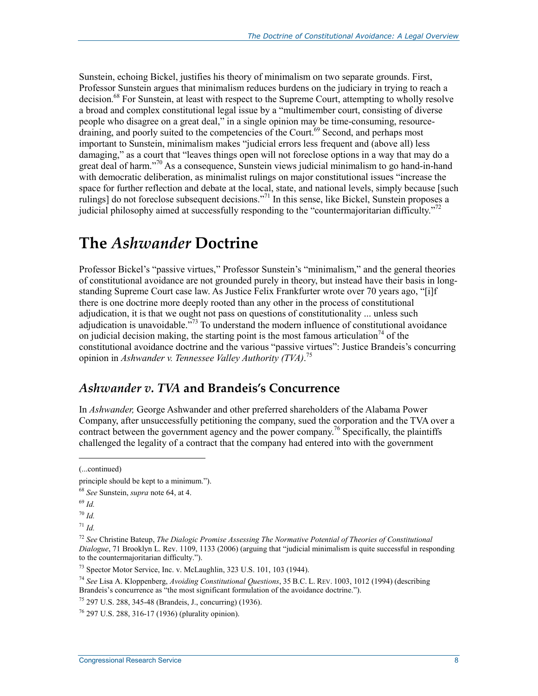Sunstein, echoing Bickel, justifies his theory of minimalism on two separate grounds. First, Professor Sunstein argues that minimalism reduces burdens on the judiciary in trying to reach a decision.<sup>68</sup> For Sunstein, at least with respect to the Supreme Court, attempting to wholly resolve a broad and complex constitutional legal issue by a "multimember court, consisting of diverse people who disagree on a great deal," in a single opinion may be time-consuming, resource- $\frac{1}{2}$  draining, and poorly suited to the competencies of the Court.<sup>69</sup> Second, and perhaps most important to Sunstein, minimalism makes "judicial errors less frequent and (above all) less damaging," as a court that "leaves things open will not foreclose options in a way that may do a great deal of harm."70 As a consequence, Sunstein views judicial minimalism to go hand-in-hand with democratic deliberation, as minimalist rulings on major constitutional issues "increase the space for further reflection and debate at the local, state, and national levels, simply because [such rulings] do not foreclose subsequent decisions."71 In this sense, like Bickel, Sunstein proposes a judicial philosophy aimed at successfully responding to the "countermajoritarian difficulty."<sup>72</sup>

# **The** *Ashwander* **Doctrine**

Professor Bickel's "passive virtues," Professor Sunstein's "minimalism," and the general theories of constitutional avoidance are not grounded purely in theory, but instead have their basis in longstanding Supreme Court case law. As Justice Felix Frankfurter wrote over 70 years ago, "[i]f there is one doctrine more deeply rooted than any other in the process of constitutional adjudication, it is that we ought not pass on questions of constitutionality ... unless such adjudication is unavoidable.<sup>773</sup> To understand the modern influence of constitutional avoidance on judicial decision making, the starting point is the most famous articulation<sup>74</sup> of the constitutional avoidance doctrine and the various "passive virtues": Justice Brandeis's concurring opinion in *Ashwander v. Tennessee Valley Authority (TVA)*. 75

### *Ashwander v. TVA* **and Brandeis's Concurrence**

In *Ashwander,* George Ashwander and other preferred shareholders of the Alabama Power Company, after unsuccessfully petitioning the company, sued the corporation and the TVA over a contract between the government agency and the power company.<sup>76</sup> Specifically, the plaintiffs challenged the legality of a contract that the company had entered into with the government

 $\overline{\phantom{a}}$ 

<sup>(...</sup>continued)

principle should be kept to a minimum.").

<sup>68</sup> *See* Sunstein, *supra* note 64, at 4.

<sup>69</sup> *Id.*

<sup>70</sup> *Id.*

 $^{71}$  *Id.* 

<sup>72</sup> *See* Christine Bateup, *The Dialogic Promise Assessing The Normative Potential of Theories of Constitutional Dialogue*, 71 Brooklyn L. Rev. 1109, 1133 (2006) (arguing that "judicial minimalism is quite successful in responding to the countermajoritarian difficulty.").

<sup>73</sup> Spector Motor Service, Inc. v. McLaughlin, 323 U.S. 101, 103 (1944).

<sup>74</sup> *See* Lisa A. Kloppenberg, *Avoiding Constitutional Questions*, 35 B.C. L. REV. 1003, 1012 (1994) (describing Brandeis's concurrence as "the most significant formulation of the avoidance doctrine.").

<sup>75 297</sup> U.S. 288, 345-48 (Brandeis, J., concurring) (1936).

<sup>76 297</sup> U.S. 288, 316-17 (1936) (plurality opinion).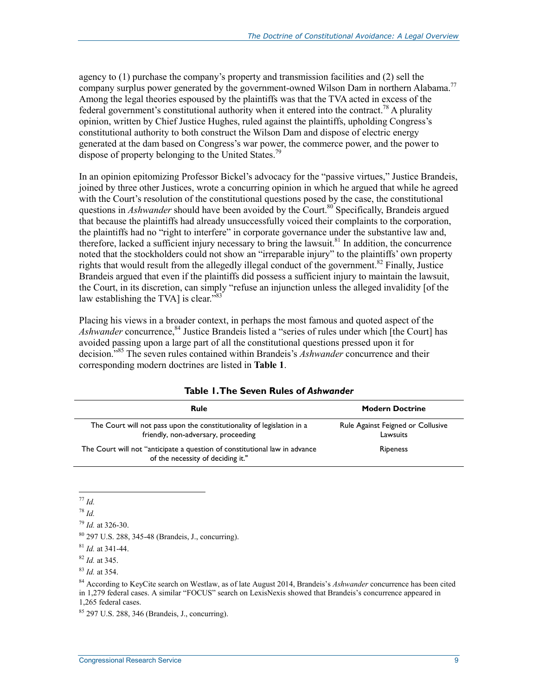agency to (1) purchase the company's property and transmission facilities and (2) sell the company surplus power generated by the government-owned Wilson Dam in northern Alabama.<sup>77</sup> Among the legal theories espoused by the plaintiffs was that the TVA acted in excess of the federal government's constitutional authority when it entered into the contract.<sup>78</sup> A plurality opinion, written by Chief Justice Hughes, ruled against the plaintiffs, upholding Congress's constitutional authority to both construct the Wilson Dam and dispose of electric energy generated at the dam based on Congress's war power, the commerce power, and the power to dispose of property belonging to the United States.<sup>79</sup>

In an opinion epitomizing Professor Bickel's advocacy for the "passive virtues," Justice Brandeis, joined by three other Justices, wrote a concurring opinion in which he argued that while he agreed with the Court's resolution of the constitutional questions posed by the case, the constitutional questions in *Ashwander* should have been avoided by the Court.<sup>80</sup> Specifically, Brandeis argued that because the plaintiffs had already unsuccessfully voiced their complaints to the corporation, the plaintiffs had no "right to interfere" in corporate governance under the substantive law and, therefore, lacked a sufficient injury necessary to bring the lawsuit. $81$  In addition, the concurrence noted that the stockholders could not show an "irreparable injury" to the plaintiffs' own property rights that would result from the allegedly illegal conduct of the government.<sup>82</sup> Finally, Justice Brandeis argued that even if the plaintiffs did possess a sufficient injury to maintain the lawsuit, the Court, in its discretion, can simply "refuse an injunction unless the alleged invalidity [of the law establishing the TVA] is clear."<sup>83</sup>

Placing his views in a broader context, in perhaps the most famous and quoted aspect of the *Ashwander* concurrence,<sup>84</sup> Justice Brandeis listed a "series of rules under which [the Court] has avoided passing upon a large part of all the constitutional questions pressed upon it for decision."85 The seven rules contained within Brandeis's *Ashwander* concurrence and their corresponding modern doctrines are listed in **Table 1**.

| Rule                                                                                                            | <b>Modern Doctrine</b>                        |
|-----------------------------------------------------------------------------------------------------------------|-----------------------------------------------|
| The Court will not pass upon the constitutionality of legislation in a<br>friendly, non-adversary, proceeding   | Rule Against Feigned or Collusive<br>Lawsuits |
| The Court will not "anticipate a question of constitutional law in advance<br>of the necessity of deciding it." | Ripeness                                      |

#### **Table 1. The Seven Rules of** *Ashwander*

<sup>&</sup>lt;u>.</u> <sup>77</sup> *Id.* 

<sup>78</sup> *Id.* 

<sup>79</sup> *Id.* at 326-30.

<sup>80 297</sup> U.S. 288, 345-48 (Brandeis, J., concurring).

<sup>81</sup> *Id.* at 341-44.

<sup>82</sup> *Id.* at 345.

<sup>83</sup> *Id.* at 354.

<sup>84</sup> According to KeyCite search on Westlaw, as of late August 2014, Brandeis's *Ashwander* concurrence has been cited in 1,279 federal cases. A similar "FOCUS" search on LexisNexis showed that Brandeis's concurrence appeared in 1,265 federal cases.

<sup>85 297</sup> U.S. 288, 346 (Brandeis, J., concurring).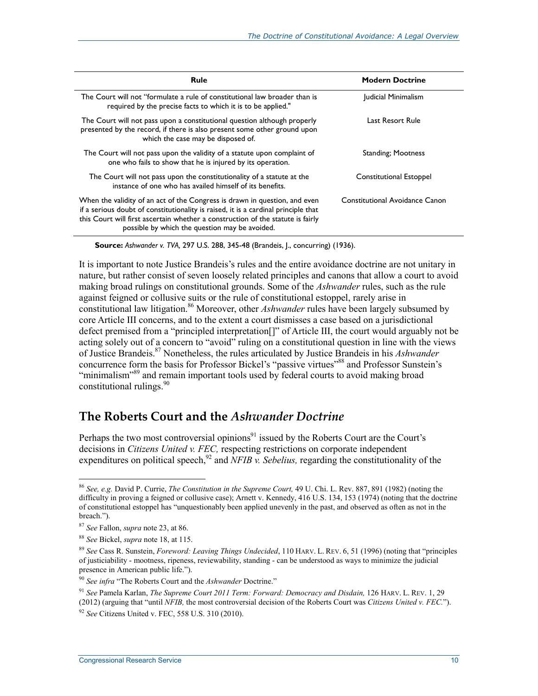| <b>Rule</b>                                                                                                                                                                                                                                                                                           | <b>Modern Doctrine</b>         |
|-------------------------------------------------------------------------------------------------------------------------------------------------------------------------------------------------------------------------------------------------------------------------------------------------------|--------------------------------|
| The Court will not "formulate a rule of constitutional law broader than is<br>required by the precise facts to which it is to be applied."                                                                                                                                                            | Judicial Minimalism            |
| The Court will not pass upon a constitutional question although properly<br>presented by the record, if there is also present some other ground upon<br>which the case may be disposed of.                                                                                                            | Last Resort Rule               |
| The Court will not pass upon the validity of a statute upon complaint of<br>one who fails to show that he is injured by its operation.                                                                                                                                                                | <b>Standing</b> ; Mootness     |
| The Court will not pass upon the constitutionality of a statute at the<br>instance of one who has availed himself of its benefits.                                                                                                                                                                    | Constitutional Estoppel        |
| When the validity of an act of the Congress is drawn in question, and even<br>if a serious doubt of constitutionality is raised, it is a cardinal principle that<br>this Court will first ascertain whether a construction of the statute is fairly<br>possible by which the question may be avoided. | Constitutional Avoidance Canon |

**Source:** *Ashwander v. TVA,* 297 U.S. 288, 345-48 (Brandeis, J., concurring) (1936).

It is important to note Justice Brandeis's rules and the entire avoidance doctrine are not unitary in nature, but rather consist of seven loosely related principles and canons that allow a court to avoid making broad rulings on constitutional grounds. Some of the *Ashwander* rules, such as the rule against feigned or collusive suits or the rule of constitutional estoppel, rarely arise in constitutional law litigation.<sup>86</sup> Moreover, other *Ashwander* rules have been largely subsumed by core Article III concerns, and to the extent a court dismisses a case based on a jurisdictional defect premised from a "principled interpretation[]" of Article III, the court would arguably not be acting solely out of a concern to "avoid" ruling on a constitutional question in line with the views of Justice Brandeis.87 Nonetheless, the rules articulated by Justice Brandeis in his *Ashwander*  concurrence form the basis for Professor Bickel's "passive virtues"88 and Professor Sunstein's "minimalism"<sup>89</sup> and remain important tools used by federal courts to avoid making broad constitutional rulings. $90$ 

### **The Roberts Court and the** *Ashwander Doctrine*

Perhaps the two most controversial opinions $91$  issued by the Roberts Court are the Court's decisions in *Citizens United v. FEC,* respecting restrictions on corporate independent expenditures on political speech,<sup>92</sup> and *NFIB v. Sebelius*, regarding the constitutionality of the

<u>.</u>

<sup>86</sup> *See, e.g.* David P. Currie, *The Constitution in the Supreme Court,* 49 U. Chi. L. Rev. 887, 891 (1982) (noting the difficulty in proving a feigned or collusive case); Arnett v. Kennedy, 416 U.S. 134, 153 (1974) (noting that the doctrine of constitutional estoppel has "unquestionably been applied unevenly in the past, and observed as often as not in the breach.").

<sup>87</sup> *See* Fallon, *supra* note 23, at 86.

<sup>88</sup> *See* Bickel, *supra* note 18, at 115.

<sup>89</sup> *See* Cass R. Sunstein, *Foreword: Leaving Things Undecided*, 110 HARV. L. REV. 6, 51 (1996) (noting that "principles of justiciability - mootness, ripeness, reviewability, standing - can be understood as ways to minimize the judicial presence in American public life.").

<sup>90</sup> *See infra* "The Roberts Court and the *Ashwander* Doctrine."

<sup>91</sup> *See* Pamela Karlan, *The Supreme Court 2011 Term: Forward: Democracy and Disdain,* 126 HARV. L. REV. 1, 29 (2012) (arguing that "until *NFIB,* the most controversial decision of the Roberts Court was *Citizens United v. FEC.*").

<sup>92</sup> *See* Citizens United v. FEC, 558 U.S. 310 (2010).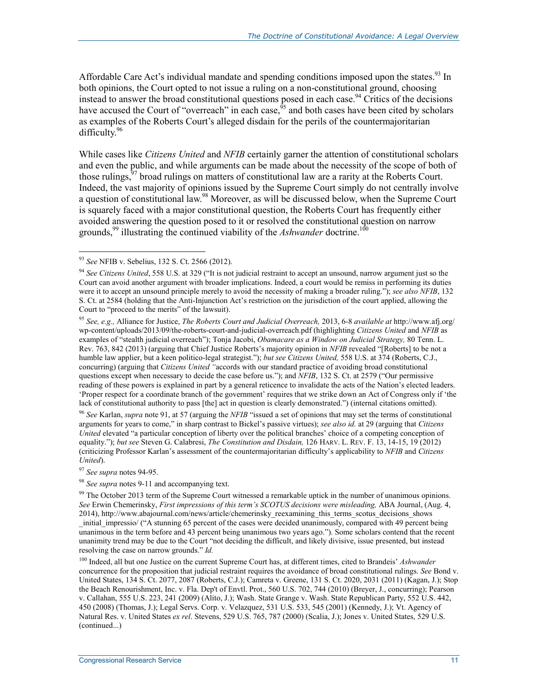Affordable Care Act's individual mandate and spending conditions imposed upon the states.<sup>93</sup> In both opinions, the Court opted to not issue a ruling on a non-constitutional ground, choosing instead to answer the broad constitutional questions posed in each case.<sup>94</sup> Critics of the decisions have accused the Court of "overreach" in each case,  $\frac{95}{5}$  and both cases have been cited by scholars as examples of the Roberts Court's alleged disdain for the perils of the countermajoritarian difficulty.<sup>96</sup>

While cases like *Citizens United* and *NFIB* certainly garner the attention of constitutional scholars and even the public, and while arguments can be made about the necessity of the scope of both of those rulings,<sup>97</sup> broad rulings on matters of constitutional law are a rarity at the Roberts Court. Indeed, the vast majority of opinions issued by the Supreme Court simply do not centrally involve a question of constitutional law.<sup>98</sup> Moreover, as will be discussed below, when the Supreme Court is squarely faced with a major constitutional question, the Roberts Court has frequently either avoided answering the question posed to it or resolved the constitutional question on narrow grounds,<sup>99</sup> illustrating the continued viability of the *Ashwander* doctrine.<sup>100</sup>

<u>.</u>

<sup>95</sup> *See, e.g.,* Alliance for Justice, *The Roberts Court and Judicial Overreach,* 2013, 6-8 *available at* http://www.afj.org/ wp-content/uploads/2013/09/the-roberts-court-and-judicial-overreach.pdf (highlighting *Citizens United* and *NFIB* as examples of "stealth judicial overreach"); Tonja Jacobi, *Obamacare as a Window on Judicial Strategy,* 80 Tenn. L. Rev. 763, 842 (2013) (arguing that Chief Justice Roberts's majority opinion in *NFIB* revealed "[Roberts] to be not a humble law applier, but a keen politico-legal strategist."); *but see Citizens United,* 558 U.S. at 374 (Roberts, C.J., concurring) (arguing that *Citizens United "*accords with our standard practice of avoiding broad constitutional questions except when necessary to decide the case before us."); and *NFIB*, 132 S. Ct. at 2579 ("Our permissive reading of these powers is explained in part by a general reticence to invalidate the acts of the Nation's elected leaders. 'Proper respect for a coordinate branch of the government' requires that we strike down an Act of Congress only if 'the lack of constitutional authority to pass [the] act in question is clearly demonstrated.") (internal citations omitted).

<sup>96</sup> *See* Karlan, *supra* note 91, at 57 (arguing the *NFIB* "issued a set of opinions that may set the terms of constitutional arguments for years to come," in sharp contrast to Bickel's passive virtues); *see also id.* at 29 (arguing that *Citizens United* elevated "a particular conception of liberty over the political branches' choice of a competing conception of equality."); *but see* Steven G. Calabresi, *The Constitution and Disdain,* 126 HARV. L. REV. F. 13, 14-15, 19 (2012) (criticizing Professor Karlan's assessment of the countermajoritarian difficulty's applicability to *NFIB* and *Citizens United*).

<sup>97</sup> *See supra* notes 94-95.

<sup>98</sup> *See supra* notes 9-11 and accompanying text.

<sup>99</sup> The October 2013 term of the Supreme Court witnessed a remarkable uptick in the number of unanimous opinions. *See* Erwin Chemerinsky, *First impressions of this term's SCOTUS decisions were misleading,* ABA Journal, (Aug. 4, 2014), http://www.abajournal.com/news/article/chemerinsky\_reexamining\_this\_terms\_scotus\_decisions\_shows initial impressio/ ("A stunning 65 percent of the cases were decided unanimously, compared with 49 percent being unanimous in the term before and 43 percent being unanimous two years ago."). Some scholars contend that the recent unanimity trend may be due to the Court "not deciding the difficult, and likely divisive, issue presented, but instead resolving the case on narrow grounds." *Id.*

<sup>100</sup> Indeed, all but one Justice on the current Supreme Court has, at different times, cited to Brandeis' *Ashwander* concurrence for the proposition that judicial restraint requires the avoidance of broad constitutional rulings. *See* Bond v. United States, 134 S. Ct. 2077, 2087 (Roberts, C.J.); Camreta v. Greene, 131 S. Ct. 2020, 2031 (2011) (Kagan, J.); Stop the Beach Renourishment, Inc. v. Fla. Dep't of Envtl. Prot., 560 U.S. 702, 744 (2010) (Breyer, J., concurring); Pearson v. Callahan, 555 U.S. 223, 241 (2009) (Alito, J.); Wash. State Grange v. Wash. State Republican Party, 552 U.S. 442, 450 (2008) (Thomas, J.); Legal Servs. Corp. v. Velazquez, 531 U.S. 533, 545 (2001) (Kennedy, J.); Vt. Agency of Natural Res. v. United States *ex rel*. Stevens, 529 U.S. 765, 787 (2000) (Scalia, J.); Jones v. United States, 529 U.S. (continued...)

<sup>93</sup> *See* NFIB v. Sebelius, 132 S. Ct. 2566 (2012).

<sup>94</sup> *See Citizens United*, 558 U.S. at 329 ("It is not judicial restraint to accept an unsound, narrow argument just so the Court can avoid another argument with broader implications. Indeed, a court would be remiss in performing its duties were it to accept an unsound principle merely to avoid the necessity of making a broader ruling."); *see also NFIB*, 132 S. Ct. at 2584 (holding that the Anti-Injunction Act's restriction on the jurisdiction of the court applied, allowing the Court to "proceed to the merits" of the lawsuit).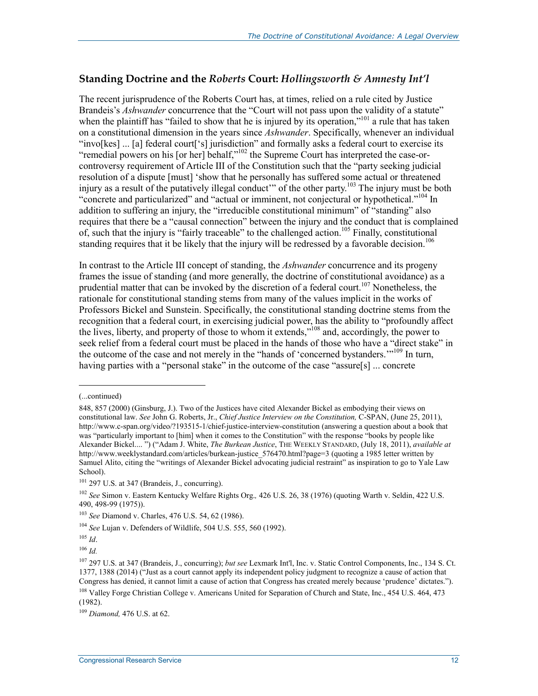#### **Standing Doctrine and the** *Roberts* **Court:** *Hollingsworth & Amnesty Int'l*

The recent jurisprudence of the Roberts Court has, at times, relied on a rule cited by Justice Brandeis's *Ashwander* concurrence that the "Court will not pass upon the validity of a statute" when the plaintiff has "failed to show that he is injured by its operation,"<sup>101</sup> a rule that has taken on a constitutional dimension in the years since *Ashwander*. Specifically, whenever an individual "invo[kes] ... [a] federal court['s] jurisdiction" and formally asks a federal court to exercise its "remedial powers on his [or her] behalf,"<sup>102</sup> the Supreme Court has interpreted the case-orcontroversy requirement of Article III of the Constitution such that the "party seeking judicial resolution of a dispute [must] 'show that he personally has suffered some actual or threatened injury as a result of the putatively illegal conduct" of the other party.<sup>103</sup> The injury must be both "concrete and particularized" and "actual or imminent, not conjectural or hypothetical."104 In addition to suffering an injury, the "irreducible constitutional minimum" of "standing" also requires that there be a "causal connection" between the injury and the conduct that is complained of, such that the injury is "fairly traceable" to the challenged action.<sup>105</sup> Finally, constitutional standing requires that it be likely that the injury will be redressed by a favorable decision.<sup>106</sup>

In contrast to the Article III concept of standing, the *Ashwander* concurrence and its progeny frames the issue of standing (and more generally, the doctrine of constitutional avoidance) as a prudential matter that can be invoked by the discretion of a federal court.<sup>107</sup> Nonetheless, the rationale for constitutional standing stems from many of the values implicit in the works of Professors Bickel and Sunstein. Specifically, the constitutional standing doctrine stems from the recognition that a federal court, in exercising judicial power, has the ability to "profoundly affect the lives, liberty, and property of those to whom it extends,"108 and, accordingly, the power to seek relief from a federal court must be placed in the hands of those who have a "direct stake" in the outcome of the case and not merely in the "hands of 'concerned bystanders. $10^{109}$  In turn, having parties with a "personal stake" in the outcome of the case "assure[s] ... concrete

<sup>(...</sup>continued)

<sup>848, 857 (2000) (</sup>Ginsburg, J.). Two of the Justices have cited Alexander Bickel as embodying their views on constitutional law. *See* John G. Roberts, Jr., *Chief Justice Interview on the Constitution,* C-SPAN, (June 25, 2011), http://www.c-span.org/video/?193515-1/chief-justice-interview-constitution (answering a question about a book that was "particularly important to [him] when it comes to the Constitution" with the response "books by people like Alexander Bickel.... ") ("Adam J. White, *The Burkean Justice*, THE WEEKLY STANDARD, (July 18, 2011), *available at*  http://www.weeklystandard.com/articles/burkean-justice 576470.html?page=3 (quoting a 1985 letter written by Samuel Alito, citing the "writings of Alexander Bickel advocating judicial restraint" as inspiration to go to Yale Law School).

 $101$  297 U.S. at 347 (Brandeis, J., concurring).

<sup>102</sup> *See* Simon v. Eastern Kentucky Welfare Rights Org.*,* 426 U.S. 26, 38 (1976) (quoting Warth v. Seldin, 422 U.S. 490, 498-99 (1975)).

<sup>103</sup> *See* Diamond v. Charles, 476 U.S. 54, 62 (1986).

<sup>104</sup> *See* Lujan v. Defenders of Wildlife, 504 U.S. 555, 560 (1992).

<sup>105</sup> *Id*.

<sup>106</sup> *Id.*

<sup>107 297</sup> U.S. at 347 (Brandeis, J., concurring); *but see* Lexmark Int'l, Inc. v. Static Control Components, Inc., 134 S. Ct. 1377, 1388 (2014) ("Just as a court cannot apply its independent policy judgment to recognize a cause of action that Congress has denied, it cannot limit a cause of action that Congress has created merely because 'prudence' dictates."). <sup>108</sup> Valley Forge Christian College v. Americans United for Separation of Church and State, Inc., 454 U.S. 464, 473 (1982).

<sup>109</sup> *Diamond,* 476 U.S. at 62.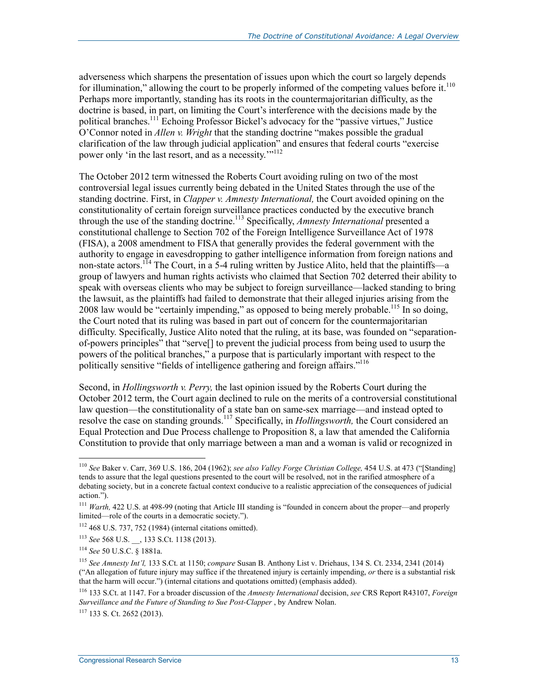adverseness which sharpens the presentation of issues upon which the court so largely depends for illumination," allowing the court to be properly informed of the competing values before it.<sup>110</sup> Perhaps more importantly, standing has its roots in the countermajoritarian difficulty, as the doctrine is based, in part, on limiting the Court's interference with the decisions made by the political branches.<sup>111</sup> Echoing Professor Bickel's advocacy for the "passive virtues," Justice O'Connor noted in *Allen v. Wright* that the standing doctrine "makes possible the gradual clarification of the law through judicial application" and ensures that federal courts "exercise power only 'in the last resort, and as a necessity.'"<sup>112</sup>

The October 2012 term witnessed the Roberts Court avoiding ruling on two of the most controversial legal issues currently being debated in the United States through the use of the standing doctrine. First, in *Clapper v. Amnesty International,* the Court avoided opining on the constitutionality of certain foreign surveillance practices conducted by the executive branch through the use of the standing doctrine.113 Specifically, *Amnesty International* presented a constitutional challenge to Section 702 of the Foreign Intelligence Surveillance Act of 1978 (FISA), a 2008 amendment to FISA that generally provides the federal government with the authority to engage in eavesdropping to gather intelligence information from foreign nations and non-state actors.<sup>114</sup> The Court, in a 5-4 ruling written by Justice Alito, held that the plaintiffs—a group of lawyers and human rights activists who claimed that Section 702 deterred their ability to speak with overseas clients who may be subject to foreign surveillance—lacked standing to bring the lawsuit, as the plaintiffs had failed to demonstrate that their alleged injuries arising from the 2008 law would be "certainly impending," as opposed to being merely probable.<sup>115</sup> In so doing, the Court noted that its ruling was based in part out of concern for the countermajoritarian difficulty. Specifically, Justice Alito noted that the ruling, at its base, was founded on "separationof-powers principles" that "serve[] to prevent the judicial process from being used to usurp the powers of the political branches," a purpose that is particularly important with respect to the politically sensitive "fields of intelligence gathering and foreign affairs."<sup>116</sup>

Second, in *Hollingsworth v. Perry,* the last opinion issued by the Roberts Court during the October 2012 term, the Court again declined to rule on the merits of a controversial constitutional law question—the constitutionality of a state ban on same-sex marriage—and instead opted to resolve the case on standing grounds.<sup>117</sup> Specifically, in *Hollingsworth*, the Court considered an Equal Protection and Due Process challenge to Proposition 8, a law that amended the California Constitution to provide that only marriage between a man and a woman is valid or recognized in

<sup>110</sup> *See* Baker v. Carr, 369 U.S. 186, 204 (1962); *see also Valley Forge Christian College,* 454 U.S. at 473 ("[Standing] tends to assure that the legal questions presented to the court will be resolved, not in the rarified atmosphere of a debating society, but in a concrete factual context conducive to a realistic appreciation of the consequences of judicial action.").

<sup>&</sup>lt;sup>111</sup> *Warth,* 422 U.S. at 498-99 (noting that Article III standing is "founded in concern about the proper—and properly limited—role of the courts in a democratic society.").

<sup>112 468</sup> U.S. 737, 752 (1984) (internal citations omitted).

<sup>113</sup> *See* 568 U.S. \_\_, 133 S.Ct. 1138 (2013).

<sup>114</sup> *See* 50 U.S.C. § 1881a.

<sup>115</sup> *See Amnesty Int'l,* 133 S.Ct. at 1150; *compare* Susan B. Anthony List v. Driehaus, 134 S. Ct. 2334, 2341 (2014) ("An allegation of future injury may suffice if the threatened injury is certainly impending, *or* there is a substantial risk that the harm will occur.") (internal citations and quotations omitted) (emphasis added).

<sup>116 133</sup> S.Ct. at 1147. For a broader discussion of the *Amnesty International* decision, *see* CRS Report R43107, *Foreign Surveillance and the Future of Standing to Sue Post-Clapper* , by Andrew Nolan.

 $117$  133 S. Ct. 2652 (2013).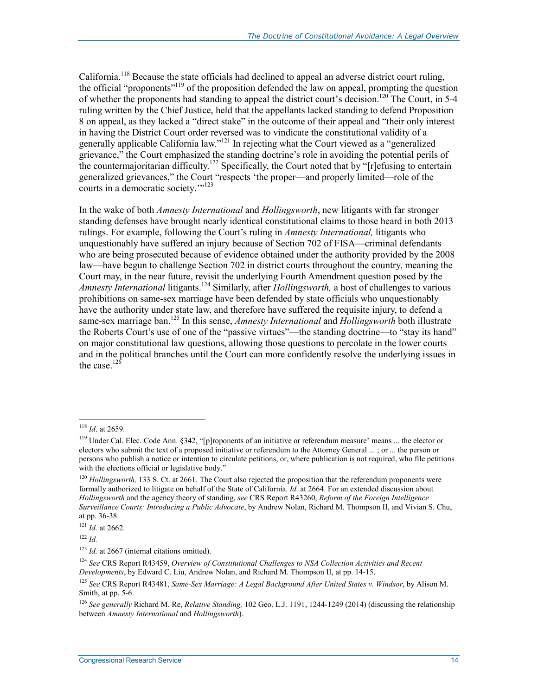California.<sup>118</sup> Because the state officials had declined to appeal an adverse district court ruling, the official "proponents"<sup>119</sup> of the proposition defended the law on appeal, prompting the question of whether the proponents had standing to appeal the district court's decision.<sup>120</sup> The Court, in 5-4 ruling written by the Chief Justice, held that the appellants lacked standing to defend Proposition 8 on appeal, as they lacked a "direct stake" in the outcome of their appeal and "their only interest in having the District Court order reversed was to vindicate the constitutional validity of a generally applicable California law."<sup>121</sup> In rejecting what the Court viewed as a "generalized" grievance," the Court emphasized the standing doctrine's role in avoiding the potential perils of the countermajoritarian difficulty.<sup>122</sup> Specifically, the Court noted that by "[r]efusing to entertain generalized grievances," the Court "respects 'the proper—and properly limited—role of the courts in a democratic society.""<sup>123</sup>

In the wake of both *Amnesty International* and *Hollingsworth*, new litigants with far stronger standing defenses have brought nearly identical constitutional claims to those heard in both 2013 rulings. For example, following the Court's ruling in *Amnesty International,* litigants who unquestionably have suffered an injury because of Section 702 of FISA—criminal defendants who are being prosecuted because of evidence obtained under the authority provided by the 2008 law—have begun to challenge Section 702 in district courts throughout the country, meaning the Court may, in the near future, revisit the underlying Fourth Amendment question posed by the *Amnesty International* litigants.124 Similarly, after *Hollingsworth,* a host of challenges to various prohibitions on same-sex marriage have been defended by state officials who unquestionably have the authority under state law, and therefore have suffered the requisite injury, to defend a same-sex marriage ban.<sup>125</sup> In this sense, *Amnesty International* and *Hollingsworth* both illustrate the Roberts Court's use of one of the "passive virtues"—the standing doctrine—to "stay its hand" on major constitutional law questions, allowing those questions to percolate in the lower courts and in the political branches until the Court can more confidently resolve the underlying issues in the case. $126$ 

<u>.</u>

<sup>118</sup> *Id*. at 2659.

<sup>119</sup> Under Cal. Elec. Code Ann. §342, "[p]roponents of an initiative or referendum measure' means ... the elector or electors who submit the text of a proposed initiative or referendum to the Attorney General ... ; or ... the person or persons who publish a notice or intention to circulate petitions, or, where publication is not required, who file petitions with the elections official or legislative body."

<sup>&</sup>lt;sup>120</sup> *Hollingsworth*, 133 S. Ct. at 2661. The Court also rejected the proposition that the referendum proponents were formally authorized to litigate on behalf of the State of California. *Id.* at 2664. For an extended discussion about *Hollingsworth* and the agency theory of standing, *see* CRS Report R43260, *Reform of the Foreign Intelligence Surveillance Courts: Introducing a Public Advocate*, by Andrew Nolan, Richard M. Thompson II, and Vivian S. Chu, at pp. 36-38.

<sup>121</sup> *Id.* at 2662.

<sup>122</sup> *Id.*

<sup>&</sup>lt;sup>123</sup> *Id.* at 2667 (internal citations omitted).

<sup>124</sup> *See* CRS Report R43459, *Overview of Constitutional Challenges to NSA Collection Activities and Recent Developments*, by Edward C. Liu, Andrew Nolan, and Richard M. Thompson II, at pp. 14-15.

<sup>125</sup> *See* CRS Report R43481, *Same-Sex Marriage: A Legal Background After United States v. Windsor*, by Alison M. Smith, at pp. 5-6.

<sup>126</sup> *See generally* Richard M. Re, *Relative Standing,* 102 Geo. L.J. 1191, 1244-1249 (2014) (discussing the relationship between *Amnesty International* and *Hollingsworth*).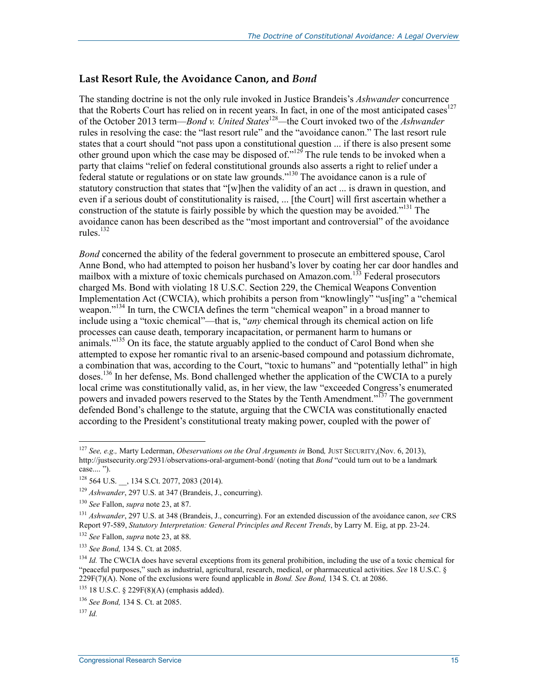#### **Last Resort Rule, the Avoidance Canon, and** *Bond*

The standing doctrine is not the only rule invoked in Justice Brandeis's *Ashwander* concurrence that the Roberts Court has relied on in recent years. In fact, in one of the most anticipated cases<sup>127</sup> of the October 2013 term—*Bond v. United States*<sup>128</sup>*—*the Court invoked two of the *Ashwander*  rules in resolving the case: the "last resort rule" and the "avoidance canon." The last resort rule states that a court should "not pass upon a constitutional question ... if there is also present some other ground upon which the case may be disposed of." $129$  The rule tends to be invoked when a party that claims "relief on federal constitutional grounds also asserts a right to relief under a federal statute or regulations or on state law grounds."130 The avoidance canon is a rule of statutory construction that states that "[w]hen the validity of an act ... is drawn in question, and even if a serious doubt of constitutionality is raised, ... [the Court] will first ascertain whether a construction of the statute is fairly possible by which the question may be avoided."<sup>131</sup> The avoidance canon has been described as the "most important and controversial" of the avoidance rules $^{132}$ 

*Bond* concerned the ability of the federal government to prosecute an embittered spouse, Carol Anne Bond, who had attempted to poison her husband's lover by coating her car door handles and mailbox with a mixture of toxic chemicals purchased on Amazon.com.<sup>133</sup> Federal prosecutors charged Ms. Bond with violating 18 U.S.C. Section 229, the Chemical Weapons Convention Implementation Act (CWCIA), which prohibits a person from "knowlingly" "us[ing" a "chemical weapon."<sup>134</sup> In turn, the CWCIA defines the term "chemical weapon" in a broad manner to include using a "toxic chemical"—that is, "*any* chemical through its chemical action on life processes can cause death, temporary incapacitation, or permanent harm to humans or animals."<sup>135</sup> On its face, the statute arguably applied to the conduct of Carol Bond when she attempted to expose her romantic rival to an arsenic-based compound and potassium dichromate, a combination that was, according to the Court, "toxic to humans" and "potentially lethal" in high doses.<sup>136</sup> In her defense, Ms. Bond challenged whether the application of the CWCIA to a purely local crime was constitutionally valid, as, in her view, the law "exceeded Congress's enumerated powers and invaded powers reserved to the States by the Tenth Amendment."<sup>137</sup> The government defended Bond's challenge to the statute, arguing that the CWCIA was constitutionally enacted according to the President's constitutional treaty making power, coupled with the power of

<u>.</u>

<sup>127</sup> *See, e.g.,* Marty Lederman, *Obeservations on the Oral Arguments in* Bond*,* JUST SECURITY,(Nov. 6, 2013), http://justsecurity.org/2931/observations-oral-argument-bond/ (noting that *Bond* "could turn out to be a landmark case.... ").

<sup>128 564</sup> U.S. \_\_, 134 S.Ct. 2077, 2083 (2014).

<sup>129</sup> *Ashwander*, 297 U.S. at 347 (Brandeis, J., concurring).

<sup>130</sup> *See* Fallon, *supra* note 23, at 87.

<sup>131</sup> *Ashwander*, 297 U.S. at 348 (Brandeis, J., concurring). For an extended discussion of the avoidance canon, *see* CRS Report 97-589, *Statutory Interpretation: General Principles and Recent Trends*, by Larry M. Eig, at pp. 23-24.

<sup>132</sup> *See* Fallon, *supra* note 23, at 88.

<sup>133</sup> *See Bond,* 134 S. Ct. at 2085.

<sup>&</sup>lt;sup>134</sup> *Id.* The CWCIA does have several exceptions from its general prohibition, including the use of a toxic chemical for "peaceful purposes," such as industrial, agricultural, research, medical, or pharmaceutical activities. *See* 18 U.S.C. § 229F(7)(A). None of the exclusions were found applicable in *Bond. See Bond,* 134 S. Ct. at 2086.

<sup>135 18</sup> U.S.C. § 229F(8)(A) (emphasis added).

<sup>136</sup> *See Bond,* 134 S. Ct. at 2085.

<sup>137</sup> *Id.*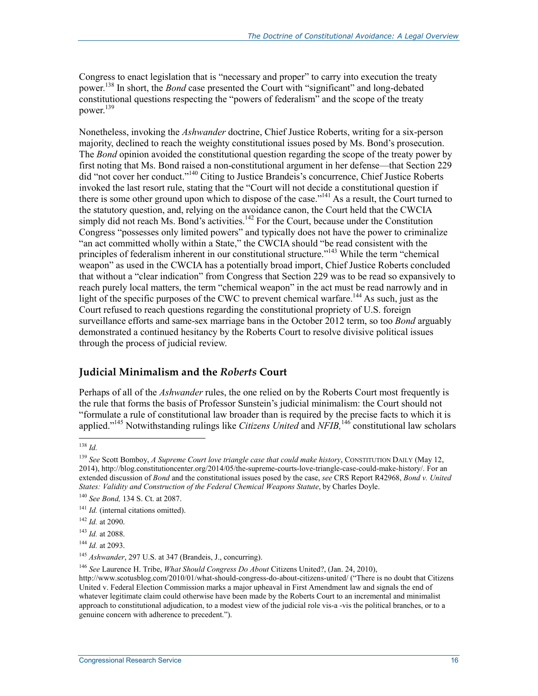Congress to enact legislation that is "necessary and proper" to carry into execution the treaty power.138 In short, the *Bond* case presented the Court with "significant" and long-debated constitutional questions respecting the "powers of federalism" and the scope of the treaty power.139

Nonetheless, invoking the *Ashwander* doctrine, Chief Justice Roberts, writing for a six-person majority, declined to reach the weighty constitutional issues posed by Ms. Bond's prosecution. The *Bond* opinion avoided the constitutional question regarding the scope of the treaty power by first noting that Ms. Bond raised a non-constitutional argument in her defense—that Section 229 did "not cover her conduct."140 Citing to Justice Brandeis's concurrence, Chief Justice Roberts invoked the last resort rule, stating that the "Court will not decide a constitutional question if there is some other ground upon which to dispose of the case."<sup>141</sup> As a result, the Court turned to the statutory question, and, relying on the avoidance canon, the Court held that the CWCIA simply did not reach Ms. Bond's activities.<sup>142</sup> For the Court, because under the Constitution Congress "possesses only limited powers" and typically does not have the power to criminalize "an act committed wholly within a State," the CWCIA should "be read consistent with the principles of federalism inherent in our constitutional structure."<sup>143</sup> While the term "chemical weapon" as used in the CWCIA has a potentially broad import, Chief Justice Roberts concluded that without a "clear indication" from Congress that Section 229 was to be read so expansively to reach purely local matters, the term "chemical weapon" in the act must be read narrowly and in light of the specific purposes of the CWC to prevent chemical warfare.<sup>144</sup> As such, just as the Court refused to reach questions regarding the constitutional propriety of U.S. foreign surveillance efforts and same-sex marriage bans in the October 2012 term, so too *Bond* arguably demonstrated a continued hesitancy by the Roberts Court to resolve divisive political issues through the process of judicial review.

#### **Judicial Minimalism and the** *Roberts* **Court**

Perhaps of all of the *Ashwander* rules, the one relied on by the Roberts Court most frequently is the rule that forms the basis of Professor Sunstein's judicial minimalism: the Court should not "formulate a rule of constitutional law broader than is required by the precise facts to which it is applied."145 Notwithstanding rulings like *Citizens United* and *NFIB,*146 constitutional law scholars

<sup>1</sup> <sup>138</sup> *Id.*

<sup>139</sup> *See* Scott Bomboy, *A Supreme Court love triangle case that could make history*, CONSTITUTION DAILY (May 12, 2014), http://blog.constitutioncenter.org/2014/05/the-supreme-courts-love-triangle-case-could-make-history/. For an extended discussion of *Bond* and the constitutional issues posed by the case, *see* CRS Report R42968, *Bond v. United States: Validity and Construction of the Federal Chemical Weapons Statute*, by Charles Doyle.

<sup>140</sup> *See Bond,* 134 S. Ct. at 2087.

<sup>&</sup>lt;sup>141</sup> *Id.* (internal citations omitted).

<sup>142</sup> *Id.* at 2090.

<sup>143</sup> *Id.* at 2088.

<sup>144</sup> *Id.* at 2093.

<sup>&</sup>lt;sup>145</sup> Ashwander, 297 U.S. at 347 (Brandeis, J., concurring).

<sup>146</sup> *See* Laurence H. Tribe, *What Should Congress Do About* Citizens United?, (Jan. 24, 2010),

http://www.scotusblog.com/2010/01/what-should-congress-do-about-citizens-united/ ("There is no doubt that Citizens United v. Federal Election Commission marks a major upheaval in First Amendment law and signals the end of whatever legitimate claim could otherwise have been made by the Roberts Court to an incremental and minimalist approach to constitutional adjudication, to a modest view of the judicial role vis-a -vis the political branches, or to a genuine concern with adherence to precedent.").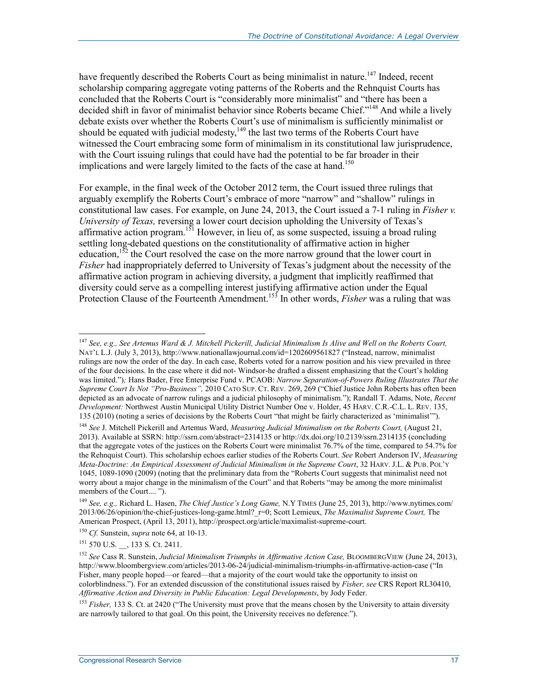have frequently described the Roberts Court as being minimalist in nature.<sup>147</sup> Indeed, recent scholarship comparing aggregate voting patterns of the Roberts and the Rehnquist Courts has concluded that the Roberts Court is "considerably more minimalist" and "there has been a decided shift in favor of minimalist behavior since Roberts became Chief."<sup>148</sup> And while a lively debate exists over whether the Roberts Court's use of minimalism is sufficiently minimalist or should be equated with judicial modesty,<sup>149</sup> the last two terms of the Roberts Court have witnessed the Court embracing some form of minimalism in its constitutional law jurisprudence, with the Court issuing rulings that could have had the potential to be far broader in their implications and were largely limited to the facts of the case at hand.<sup>150</sup>

For example, in the final week of the October 2012 term, the Court issued three rulings that arguably exemplify the Roberts Court's embrace of more "narrow" and "shallow" rulings in constitutional law cases. For example, on June 24, 2013, the Court issued a 7-1 ruling in *Fisher v. University of Texas,* reversing a lower court decision upholding the University of Texas's affirmative action program.<sup>151</sup> However, in lieu of, as some suspected, issuing a broad ruling settling long-debated questions on the constitutionality of affirmative action in higher education,<sup>152</sup> the Court resolved the case on the more narrow ground that the lower court in *Fisher* had inappropriately deferred to University of Texas's judgment about the necessity of the affirmative action program in achieving diversity, a judgment that implicitly reaffirmed that diversity could serve as a compelling interest justifying affirmative action under the Equal Protection Clause of the Fourteenth Amendment.<sup>153</sup> In other words, *Fisher* was a ruling that was

<sup>151</sup> 570 U.S. \_\_, 133 S. Ct. 2411.

<sup>147</sup> *See, e.g., See Artemus Ward & J. Mitchell Pickerill, Judicial Minimalism Is Alive and Well on the Roberts Court,*  NAT'L L.J. (July 3, 2013), http://www.nationallawjournal.com/id=1202609561827 ("Instead, narrow, minimalist rulings are now the order of the day. In each case, Roberts voted for a narrow position and his view prevailed in three of the four decisions. In the case where it did not- Windsor-he drafted a dissent emphasizing that the Court's holding was limited.")*;* Hans Bader, Free Enterprise Fund v. PCAOB: *Narrow Separation-of-Powers Ruling Illustrates That the Supreme Court Is Not "Pro-Business",* 2010 CATO SUP. CT. REV. 269, 269 ("Chief Justice John Roberts has often been depicted as an advocate of narrow rulings and a judicial philosophy of minimalism."); Randall T. Adams, Note, *Recent Development:* Northwest Austin Municipal Utility District Number One v. Holder, 45 HARV. C.R.-C.L. L. REV. 135, 135 (2010) (noting a series of decisions by the Roberts Court "that might be fairly characterized as 'minimalist'").

<sup>&</sup>lt;sup>148</sup> See J. Mitchell Pickerill and Artemus Ward, *Measuring Judicial Minimalism on the Roberts Court*, (August 21, 2013). Available at SSRN: http://ssrn.com/abstract=2314135 or http://dx.doi.org/10.2139/ssrn.2314135 (concluding that the aggregate votes of the justices on the Roberts Court were minimalist 76.7% of the time, compared to 54.7% for the Rehnquist Court). This scholarship echoes earlier studies of the Roberts Court. *See* Robert Anderson IV, *Measuring Meta-Doctrine: An Empirical Assessment of Judicial Minimalism in the Supreme Court*, 32 HARV. J.L. & PUB. POL'Y 1045, 1089-1090 (2009) (noting that the preliminary data from the "Roberts Court suggests that minimalist need not worry about a major change in the minimalism of the Court" and that Roberts "may be among the more minimalist members of the Court.... ").

<sup>149</sup> *See, e.g.,* Richard L. Hasen, *The Chief Justice's Long Game,* N.Y TIMES (June 25, 2013), http://www.nytimes.com/ 2013/06/26/opinion/the-chief-justices-long-game.html?\_r=0; Scott Lemieux, *The Maximalist Supreme Court,* The American Prospect, (April 13, 2011), http://prospect.org/article/maximalist-supreme-court.

<sup>150</sup> *Cf.* Sunstein, *supra* note 64, at 10-13.

<sup>&</sup>lt;sup>152</sup> See Cass R. Sunstein, *Judicial Minimalism Triumphs in Affirmative Action Case*, BLOOMBERGVIEW (June 24, 2013), http://www.bloombergview.com/articles/2013-06-24/judicial-minimalism-triumphs-in-affirmative-action-case ("In Fisher, many people hoped—or feared—that a majority of the court would take the opportunity to insist on colorblindness."). For an extended discussion of the constitutional issues raised by *Fisher, see* CRS Report RL30410, *Affirmative Action and Diversity in Public Education: Legal Developments*, by Jody Feder.

<sup>&</sup>lt;sup>153</sup> Fisher, 133 S. Ct. at 2420 ("The University must prove that the means chosen by the University to attain diversity are narrowly tailored to that goal. On this point, the University receives no deference.").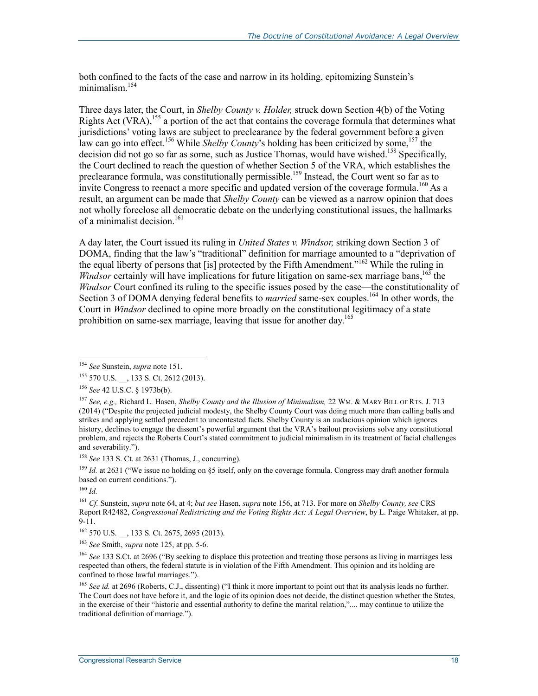both confined to the facts of the case and narrow in its holding, epitomizing Sunstein's minimalism.<sup>154</sup>

Three days later, the Court, in *Shelby County v. Holder,* struck down Section 4(b) of the Voting Rights Act (VRA),  $155$  a portion of the act that contains the coverage formula that determines what jurisdictions' voting laws are subject to preclearance by the federal government before a given law can go into effect.<sup>156</sup> While *Shelby County*'s holding has been criticized by some,<sup>157</sup> the decision did not go so far as some, such as Justice Thomas, would have wished.<sup>158</sup> Specifically, the Court declined to reach the question of whether Section 5 of the VRA, which establishes the preclearance formula, was constitutionally permissible.<sup>159</sup> Instead, the Court went so far as to invite Congress to reenact a more specific and updated version of the coverage formula.<sup>160</sup> As a result, an argument can be made that *Shelby County* can be viewed as a narrow opinion that does not wholly foreclose all democratic debate on the underlying constitutional issues, the hallmarks of a minimalist decision.<sup>161</sup>

A day later, the Court issued its ruling in *United States v. Windsor,* striking down Section 3 of DOMA, finding that the law's "traditional" definition for marriage amounted to a "deprivation of the equal liberty of persons that [is] protected by the Fifth Amendment."162 While the ruling in *Windsor* certainly will have implications for future litigation on same-sex marriage bans,  $163$  the *Windsor* Court confined its ruling to the specific issues posed by the case—the constitutionality of Section 3 of DOMA denying federal benefits to *married* same-sex couples.<sup>164</sup> In other words, the Court in *Windsor* declined to opine more broadly on the constitutional legitimacy of a state prohibition on same-sex marriage, leaving that issue for another day.<sup>165</sup>

<sup>154</sup> *See* Sunstein, *supra* note 151.

<sup>&</sup>lt;sup>155</sup> 570 U.S. , 133 S. Ct. 2612 (2013).

<sup>156</sup> *See* 42 U.S.C. § 1973b(b).

<sup>157</sup> *See, e.g.,* Richard L. Hasen, *Shelby County and the Illusion of Minimalism,* 22 WM. & MARY BILL OF RTS. J. 713 (2014) ("Despite the projected judicial modesty, the Shelby County Court was doing much more than calling balls and strikes and applying settled precedent to uncontested facts. Shelby County is an audacious opinion which ignores history, declines to engage the dissent's powerful argument that the VRA's bailout provisions solve any constitutional problem, and rejects the Roberts Court's stated commitment to judicial minimalism in its treatment of facial challenges and severability.").

<sup>158</sup> *See* 133 S. Ct. at 2631 (Thomas, J., concurring).

<sup>&</sup>lt;sup>159</sup> *Id.* at 2631 ("We issue no holding on §5 itself, only on the coverage formula. Congress may draft another formula based on current conditions.").

<sup>160</sup> *Id.*

<sup>161</sup> *Cf.* Sunstein, *supra* note 64, at 4; *but see* Hasen, *supra* note 156, at 713. For more on *Shelby County, see* CRS Report R42482, *Congressional Redistricting and the Voting Rights Act: A Legal Overview*, by L. Paige Whitaker, at pp.  $9 - 11$ .

<sup>&</sup>lt;sup>162</sup> 570 U.S. , 133 S. Ct. 2675, 2695 (2013).

<sup>163</sup> *See* Smith, *supra* note 125, at pp. 5-6.

<sup>&</sup>lt;sup>164</sup> *See* 133 S.Ct. at 2696 ("By seeking to displace this protection and treating those persons as living in marriages less respected than others, the federal statute is in violation of the Fifth Amendment. This opinion and its holding are confined to those lawful marriages.").

<sup>&</sup>lt;sup>165</sup> *See id.* at 2696 (Roberts, C.J., dissenting) ("I think it more important to point out that its analysis leads no further. The Court does not have before it, and the logic of its opinion does not decide, the distinct question whether the States, in the exercise of their "historic and essential authority to define the marital relation,".... may continue to utilize the traditional definition of marriage.").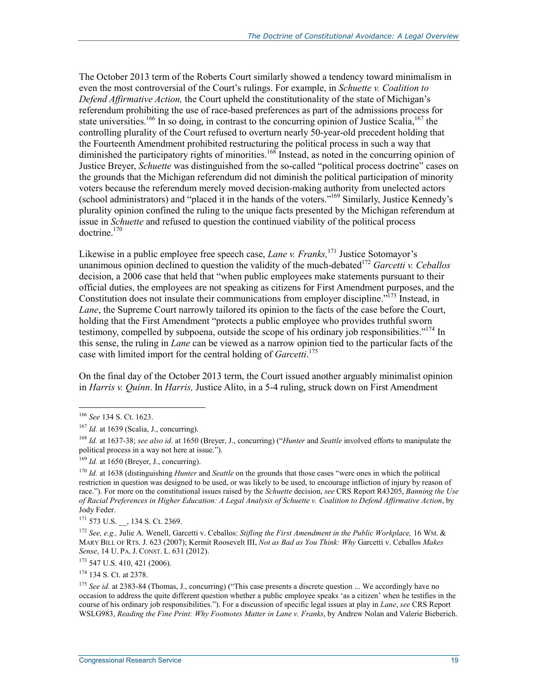The October 2013 term of the Roberts Court similarly showed a tendency toward minimalism in even the most controversial of the Court's rulings. For example, in *Schuette v. Coalition to Defend Affirmative Action,* the Court upheld the constitutionality of the state of Michigan's referendum prohibiting the use of race-based preferences as part of the admissions process for state universities.<sup>166</sup> In so doing, in contrast to the concurring opinion of Justice Scalia,<sup>167</sup> the controlling plurality of the Court refused to overturn nearly 50-year-old precedent holding that the Fourteenth Amendment prohibited restructuring the political process in such a way that diminished the participatory rights of minorities.<sup>168</sup> Instead, as noted in the concurring opinion of Justice Breyer, *Schuette* was distinguished from the so-called "political process doctrine" cases on the grounds that the Michigan referendum did not diminish the political participation of minority voters because the referendum merely moved decision-making authority from unelected actors (school administrators) and "placed it in the hands of the voters."169 Similarly, Justice Kennedy's plurality opinion confined the ruling to the unique facts presented by the Michigan referendum at issue in *Schuette* and refused to question the continued viability of the political process doctrine.<sup>170</sup>

Likewise in a public employee free speech case, *Lane v. Franks,*<sup>171</sup> Justice Sotomayor's unanimous opinion declined to question the validity of the much-debated<sup>172</sup> *Garcetti v. Ceballos* decision, a 2006 case that held that "when public employees make statements pursuant to their official duties, the employees are not speaking as citizens for First Amendment purposes, and the Constitution does not insulate their communications from employer discipline.<sup>"173</sup> Instead, in *Lane*, the Supreme Court narrowly tailored its opinion to the facts of the case before the Court, holding that the First Amendment "protects a public employee who provides truthful sworn testimony, compelled by subpoena, outside the scope of his ordinary job responsibilities."<sup>174</sup> In this sense, the ruling in *Lane* can be viewed as a narrow opinion tied to the particular facts of the case with limited import for the central holding of *Garcetti*. 175

On the final day of the October 2013 term, the Court issued another arguably minimalist opinion in *Harris v. Quinn*. In *Harris,* Justice Alito, in a 5-4 ruling, struck down on First Amendment

1

171 573 U.S. , 134 S. Ct. 2369.

<sup>172</sup> See, e.g., Julie A. Wenell, Garcetti v. Ceballos: *Stifling the First Amendment in the Public Workplace*, 16 WM. & MARY BILL OF RTS. J. 623 (2007); Kermit Roosevelt III, *Not as Bad as You Think: Why* Garcetti v. Ceballos *Makes Sense*, 14 U. PA. J. CONST. L. 631 (2012).

173 547 U.S. 410, 421 (2006).

174 134 S. Ct. at 2378.

<sup>166</sup> *See* 134 S. Ct. 1623.

 $167$  *Id.* at 1639 (Scalia, J., concurring).

<sup>168</sup> *Id.* at 1637-38; *see also id.* at 1650 (Breyer, J., concurring) ("*Hunter* and *Seattle* involved efforts to manipulate the political process in a way not here at issue.").

 $169$  *Id.* at 1650 (Brever, J., concurring).

<sup>170</sup> *Id.* at 1638 (distinguishing *Hunter* and *Seattle* on the grounds that those cases "were ones in which the political restriction in question was designed to be used, or was likely to be used, to encourage infliction of injury by reason of race."). For more on the constitutional issues raised by the *Schuette* decision, *see* CRS Report R43205, *Banning the Use of Racial Preferences in Higher Education: A Legal Analysis of Schuette v. Coalition to Defend Affirmative Action*, by Jody Feder.

<sup>&</sup>lt;sup>175</sup> *See id.* at 2383-84 (Thomas, J., concurring) ("This case presents a discrete question ... We accordingly have no occasion to address the quite different question whether a public employee speaks 'as a citizen' when he testifies in the course of his ordinary job responsibilities."). For a discussion of specific legal issues at play in *Lane*, *see* CRS Report WSLG983, *Reading the Fine Print: Why Footnotes Matter in Lane v. Franks*, by Andrew Nolan and Valerie Bieberich.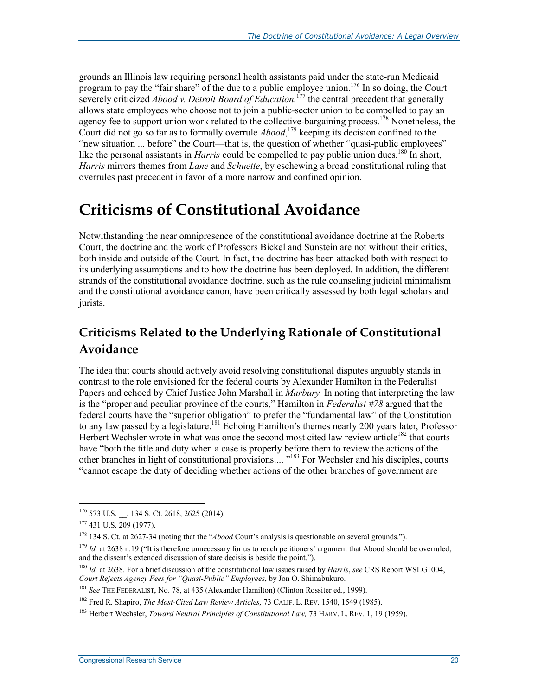grounds an Illinois law requiring personal health assistants paid under the state-run Medicaid program to pay the "fair share" of the due to a public employee union.<sup>176</sup> In so doing, the Court severely criticized *Abood v. Detroit Board of Education*,<sup>177</sup> the central precedent that generally allows state employees who choose not to join a public-sector union to be compelled to pay an agency fee to support union work related to the collective-bargaining process.<sup>178</sup> Nonetheless, the Court did not go so far as to formally overrule *Abood*,<sup>179</sup> keeping its decision confined to the "new situation ... before" the Court—that is, the question of whether "quasi-public employees" like the personal assistants in *Harris* could be compelled to pay public union dues.<sup>180</sup> In short, *Harris* mirrors themes from *Lane* and *Schuette*, by eschewing a broad constitutional ruling that overrules past precedent in favor of a more narrow and confined opinion.

# **Criticisms of Constitutional Avoidance**

Notwithstanding the near omnipresence of the constitutional avoidance doctrine at the Roberts Court, the doctrine and the work of Professors Bickel and Sunstein are not without their critics, both inside and outside of the Court. In fact, the doctrine has been attacked both with respect to its underlying assumptions and to how the doctrine has been deployed. In addition, the different strands of the constitutional avoidance doctrine, such as the rule counseling judicial minimalism and the constitutional avoidance canon, have been critically assessed by both legal scholars and jurists.

## **Criticisms Related to the Underlying Rationale of Constitutional Avoidance**

The idea that courts should actively avoid resolving constitutional disputes arguably stands in contrast to the role envisioned for the federal courts by Alexander Hamilton in the Federalist Papers and echoed by Chief Justice John Marshall in *Marbury.* In noting that interpreting the law is the "proper and peculiar province of the courts," Hamilton in *Federalist #78* argued that the federal courts have the "superior obligation" to prefer the "fundamental law" of the Constitution to any law passed by a legislature.<sup>181</sup> Echoing Hamilton's themes nearly 200 years later, Professor Herbert Wechsler wrote in what was once the second most cited law review article<sup>182</sup> that courts have "both the title and duty when a case is properly before them to review the actions of the other branches in light of constitutional provisions.... "183 For Wechsler and his disciples, courts "cannot escape the duty of deciding whether actions of the other branches of government are

<sup>176 573</sup> U.S. \_\_, 134 S. Ct. 2618, 2625 (2014).

<sup>177 431</sup> U.S. 209 (1977).

<sup>178 134</sup> S. Ct. at 2627-34 (noting that the "*Abood* Court's analysis is questionable on several grounds.").

<sup>&</sup>lt;sup>179</sup> *Id.* at 2638 n.19 ("It is therefore unnecessary for us to reach petitioners' argument that Abood should be overruled, and the dissent's extended discussion of stare decisis is beside the point.").

<sup>180</sup> *Id.* at 2638. For a brief discussion of the constitutional law issues raised by *Harris*, *see* CRS Report WSLG1004, *Court Rejects Agency Fees for "Quasi-Public" Employees*, by Jon O. Shimabukuro.

<sup>&</sup>lt;sup>181</sup> See THE FEDERALIST, No. 78, at 435 (Alexander Hamilton) (Clinton Rossiter ed., 1999).

<sup>182</sup> Fred R. Shapiro, *The Most-Cited Law Review Articles,* 73 CALIF. L. REV. 1540, 1549 (1985).

<sup>&</sup>lt;sup>183</sup> Herbert Wechsler, *Toward Neutral Principles of Constitutional Law*, 73 HARV. L. REV. 1, 19 (1959).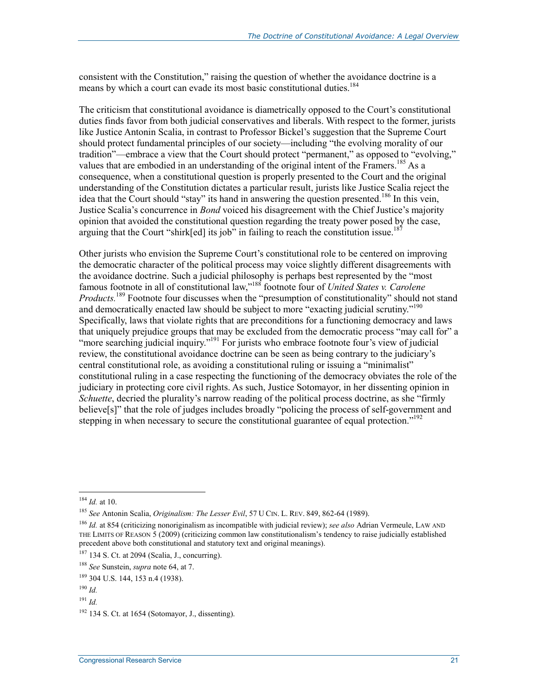consistent with the Constitution," raising the question of whether the avoidance doctrine is a means by which a court can evade its most basic constitutional duties.<sup>184</sup>

The criticism that constitutional avoidance is diametrically opposed to the Court's constitutional duties finds favor from both judicial conservatives and liberals. With respect to the former, jurists like Justice Antonin Scalia, in contrast to Professor Bickel's suggestion that the Supreme Court should protect fundamental principles of our society—including "the evolving morality of our tradition"—embrace a view that the Court should protect "permanent," as opposed to "evolving," values that are embodied in an understanding of the original intent of the Framers.<sup>185</sup> As a consequence, when a constitutional question is properly presented to the Court and the original understanding of the Constitution dictates a particular result, jurists like Justice Scalia reject the idea that the Court should "stay" its hand in answering the question presented.<sup>186</sup> In this vein, Justice Scalia's concurrence in *Bond* voiced his disagreement with the Chief Justice's majority opinion that avoided the constitutional question regarding the treaty power posed by the case, arguing that the Court "shirk[ed] its job" in failing to reach the constitution issue.<sup>187</sup>

Other jurists who envision the Supreme Court's constitutional role to be centered on improving the democratic character of the political process may voice slightly different disagreements with the avoidance doctrine. Such a judicial philosophy is perhaps best represented by the "most famous footnote in all of constitutional law,"188 footnote four of *United States v. Carolene Products.*<sup>189</sup> Footnote four discusses when the "presumption of constitutionality" should not stand and democratically enacted law should be subject to more "exacting judicial scrutiny."<sup>190</sup> Specifically, laws that violate rights that are preconditions for a functioning democracy and laws that uniquely prejudice groups that may be excluded from the democratic process "may call for" a "more searching judicial inquiry."<sup>191</sup> For jurists who embrace footnote four's view of judicial review, the constitutional avoidance doctrine can be seen as being contrary to the judiciary's central constitutional role, as avoiding a constitutional ruling or issuing a "minimalist" constitutional ruling in a case respecting the functioning of the democracy obviates the role of the judiciary in protecting core civil rights. As such, Justice Sotomayor, in her dissenting opinion in *Schuette*, decried the plurality's narrow reading of the political process doctrine, as she "firmly" believe[s]" that the role of judges includes broadly "policing the process of self-government and stepping in when necessary to secure the constitutional guarantee of equal protection."<sup>192</sup>

<u>.</u>

<sup>184</sup> *Id.* at 10.

<sup>185</sup> *See* Antonin Scalia, *Originalism: The Lesser Evil*, 57 U CIN. L. REV. 849, 862-64 (1989).

<sup>186</sup> *Id.* at 854 (criticizing nonoriginalism as incompatible with judicial review); *see also* Adrian Vermeule, LAW AND THE LIMITS OF REASON 5 (2009) (criticizing common law constitutionalism's tendency to raise judicially established precedent above both constitutional and statutory text and original meanings).

<sup>187 134</sup> S. Ct. at 2094 (Scalia, J., concurring).

<sup>188</sup> *See* Sunstein, *supra* note 64, at 7.

<sup>189 304</sup> U.S. 144, 153 n.4 (1938).

<sup>190</sup> *Id.*

<sup>191</sup> *Id.*

 $192$  134 S. Ct. at 1654 (Sotomayor, J., dissenting).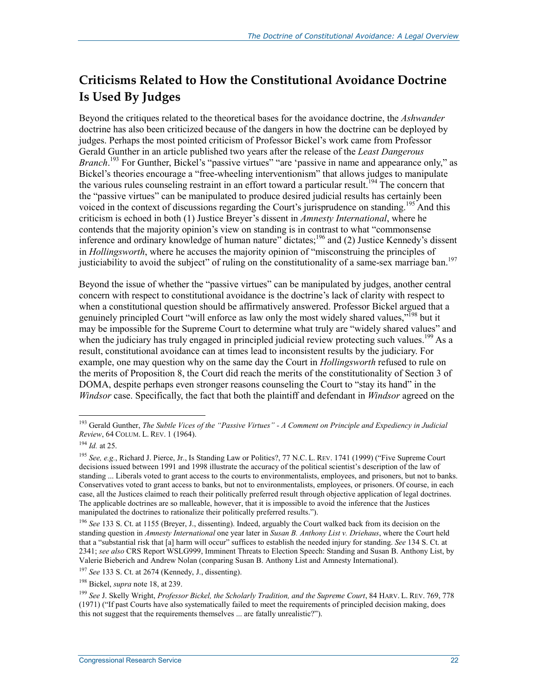### **Criticisms Related to How the Constitutional Avoidance Doctrine Is Used By Judges**

Beyond the critiques related to the theoretical bases for the avoidance doctrine, the *Ashwander*  doctrine has also been criticized because of the dangers in how the doctrine can be deployed by judges. Perhaps the most pointed criticism of Professor Bickel's work came from Professor Gerald Gunther in an article published two years after the release of the *Least Dangerous*  Branch.<sup>193</sup> For Gunther, Bickel's "passive virtues" "are 'passive in name and appearance only," as Bickel's theories encourage a "free-wheeling interventionism" that allows judges to manipulate the various rules counseling restraint in an effort toward a particular result.<sup>194</sup> The concern that the "passive virtues" can be manipulated to produce desired judicial results has certainly been voiced in the context of discussions regarding the Court's jurisprudence on standing.<sup>195</sup> And this criticism is echoed in both (1) Justice Breyer's dissent in *Amnesty International*, where he contends that the majority opinion's view on standing is in contrast to what "commonsense inference and ordinary knowledge of human nature" dictates;<sup>196</sup> and (2) Justice Kennedy's dissent in *Hollingsworth*, where he accuses the majority opinion of "misconstruing the principles of justiciability to avoid the subject" of ruling on the constitutionality of a same-sex marriage ban.<sup>197</sup>

Beyond the issue of whether the "passive virtues" can be manipulated by judges, another central concern with respect to constitutional avoidance is the doctrine's lack of clarity with respect to when a constitutional question should be affirmatively answered. Professor Bickel argued that a genuinely principled Court "will enforce as law only the most widely shared values,"<sup>198</sup> but it may be impossible for the Supreme Court to determine what truly are "widely shared values" and when the judiciary has truly engaged in principled judicial review protecting such values.<sup>199</sup> As a result, constitutional avoidance can at times lead to inconsistent results by the judiciary. For example, one may question why on the same day the Court in *Hollingsworth* refused to rule on the merits of Proposition 8, the Court did reach the merits of the constitutionality of Section 3 of DOMA, despite perhaps even stronger reasons counseling the Court to "stay its hand" in the *Windsor* case. Specifically, the fact that both the plaintiff and defendant in *Windsor* agreed on the

<sup>193</sup> Gerald Gunther, *The Subtle Vices of the "Passive Virtues" - A Comment on Principle and Expediency in Judicial Review*, 64 COLUM. L. REV. 1 (1964).

<sup>194</sup> *Id.* at 25.

<sup>&</sup>lt;sup>195</sup> See, e.g., Richard J. Pierce, Jr., Is Standing Law or Politics?, 77 N.C. L. REV. 1741 (1999) ("Five Supreme Court decisions issued between 1991 and 1998 illustrate the accuracy of the political scientist's description of the law of standing ... Liberals voted to grant access to the courts to environmentalists, employees, and prisoners, but not to banks. Conservatives voted to grant access to banks, but not to environmentalists, employees, or prisoners. Of course, in each case, all the Justices claimed to reach their politically preferred result through objective application of legal doctrines. The applicable doctrines are so malleable, however, that it is impossible to avoid the inference that the Justices manipulated the doctrines to rationalize their politically preferred results.").

<sup>196</sup> *See* 133 S. Ct. at 1155 (Breyer, J., dissenting). Indeed, arguably the Court walked back from its decision on the standing question in *Amnesty International* one year later in *Susan B. Anthony List v. Driehaus*, where the Court held that a "substantial risk that [a] harm will occur" suffices to establish the needed injury for standing. *See* 134 S. Ct. at 2341; *see also* CRS Report WSLG999, Imminent Threats to Election Speech: Standing and Susan B. Anthony List, by Valerie Bieberich and Andrew Nolan (conparing Susan B. Anthony List and Amnesty International).

<sup>197</sup> *See* 133 S. Ct. at 2674 (Kennedy, J., dissenting).

<sup>198</sup> Bickel, *supra* note 18, at 239.

<sup>199</sup> *See* J. Skelly Wright, *Professor Bickel, the Scholarly Tradition, and the Supreme Court*, 84 HARV. L. REV. 769, 778 (1971) ("If past Courts have also systematically failed to meet the requirements of principled decision making, does this not suggest that the requirements themselves ... are fatally unrealistic?").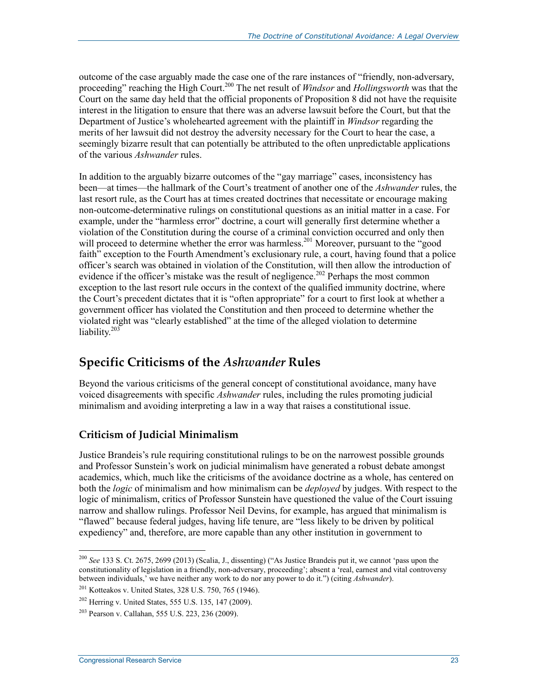outcome of the case arguably made the case one of the rare instances of "friendly, non-adversary, proceeding" reaching the High Court.<sup>200</sup> The net result of *Windsor* and *Hollingsworth* was that the Court on the same day held that the official proponents of Proposition 8 did not have the requisite interest in the litigation to ensure that there was an adverse lawsuit before the Court, but that the Department of Justice's wholehearted agreement with the plaintiff in *Windsor* regarding the merits of her lawsuit did not destroy the adversity necessary for the Court to hear the case, a seemingly bizarre result that can potentially be attributed to the often unpredictable applications of the various *Ashwander* rules.

In addition to the arguably bizarre outcomes of the "gay marriage" cases, inconsistency has been—at times—the hallmark of the Court's treatment of another one of the *Ashwander* rules, the last resort rule, as the Court has at times created doctrines that necessitate or encourage making non-outcome-determinative rulings on constitutional questions as an initial matter in a case. For example, under the "harmless error" doctrine, a court will generally first determine whether a violation of the Constitution during the course of a criminal conviction occurred and only then will proceed to determine whether the error was harmless.<sup>201</sup> Moreover, pursuant to the "good faith" exception to the Fourth Amendment's exclusionary rule, a court, having found that a police officer's search was obtained in violation of the Constitution, will then allow the introduction of evidence if the officer's mistake was the result of negligence.<sup>202</sup> Perhaps the most common exception to the last resort rule occurs in the context of the qualified immunity doctrine, where the Court's precedent dictates that it is "often appropriate" for a court to first look at whether a government officer has violated the Constitution and then proceed to determine whether the violated right was "clearly established" at the time of the alleged violation to determine liability.<sup>203</sup>

### **Specific Criticisms of the** *Ashwander* **Rules**

Beyond the various criticisms of the general concept of constitutional avoidance, many have voiced disagreements with specific *Ashwander* rules, including the rules promoting judicial minimalism and avoiding interpreting a law in a way that raises a constitutional issue.

### **Criticism of Judicial Minimalism**

Justice Brandeis's rule requiring constitutional rulings to be on the narrowest possible grounds and Professor Sunstein's work on judicial minimalism have generated a robust debate amongst academics, which, much like the criticisms of the avoidance doctrine as a whole, has centered on both the *logic* of minimalism and how minimalism can be *deployed* by judges. With respect to the logic of minimalism, critics of Professor Sunstein have questioned the value of the Court issuing narrow and shallow rulings. Professor Neil Devins, for example, has argued that minimalism is "flawed" because federal judges, having life tenure, are "less likely to be driven by political expediency" and, therefore, are more capable than any other institution in government to

<sup>200</sup> *See* 133 S. Ct. 2675, 2699 (2013) (Scalia, J., dissenting) ("As Justice Brandeis put it, we cannot 'pass upon the constitutionality of legislation in a friendly, non-adversary, proceeding'; absent a 'real, earnest and vital controversy between individuals,' we have neither any work to do nor any power to do it.") (citing *Ashwander*).

<sup>201</sup> Kotteakos v. United States, 328 U.S. 750, 765 (1946).

 $202$  Herring v. United States, 555 U.S. 135, 147 (2009).

<sup>203</sup> Pearson v. Callahan, 555 U.S. 223, 236 (2009).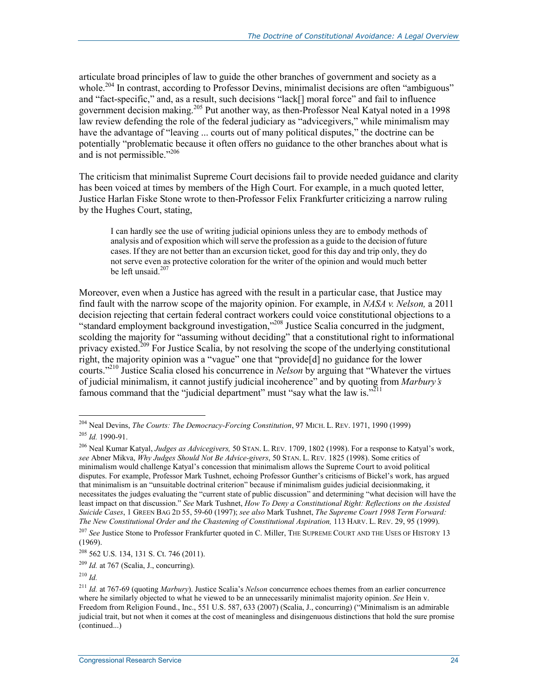articulate broad principles of law to guide the other branches of government and society as a whole.<sup>204</sup> In contrast, according to Professor Devins, minimalist decisions are often "ambiguous" and "fact-specific," and, as a result, such decisions "lack[] moral force" and fail to influence government decision making.<sup>205</sup> Put another way, as then-Professor Neal Katyal noted in a 1998 law review defending the role of the federal judiciary as "advicegivers," while minimalism may have the advantage of "leaving ... courts out of many political disputes," the doctrine can be potentially "problematic because it often offers no guidance to the other branches about what is and is not permissible."<sup>206</sup>

The criticism that minimalist Supreme Court decisions fail to provide needed guidance and clarity has been voiced at times by members of the High Court. For example, in a much quoted letter, Justice Harlan Fiske Stone wrote to then-Professor Felix Frankfurter criticizing a narrow ruling by the Hughes Court, stating,

I can hardly see the use of writing judicial opinions unless they are to embody methods of analysis and of exposition which will serve the profession as a guide to the decision of future cases. If they are not better than an excursion ticket, good for this day and trip only, they do not serve even as protective coloration for the writer of the opinion and would much better be left unsaid. $207$ 

Moreover, even when a Justice has agreed with the result in a particular case, that Justice may find fault with the narrow scope of the majority opinion. For example, in *NASA v. Nelson,* a 2011 decision rejecting that certain federal contract workers could voice constitutional objections to a "standard employment background investigation,"208 Justice Scalia concurred in the judgment, scolding the majority for "assuming without deciding" that a constitutional right to informational privacy existed.<sup>209</sup> For Justice Scalia, by not resolving the scope of the underlying constitutional right, the majority opinion was a "vague" one that "provide[d] no guidance for the lower courts."210 Justice Scalia closed his concurrence in *Nelson* by arguing that "Whatever the virtues of judicial minimalism, it cannot justify judicial incoherence" and by quoting from *Marbury's*  famous command that the "judicial department" must "say what the law is."<sup>211</sup>

<sup>204</sup> Neal Devins, *The Courts: The Democracy-Forcing Constitution*, 97 MICH. L. REV. 1971, 1990 (1999) <sup>205</sup> *Id.* 1990-91.

<sup>206</sup> Neal Kumar Katyal, *Judges as Advicegivers,* 50 STAN. L. REV. 1709, 1802 (1998). For a response to Katyal's work, *see* Abner Mikva, *Why Judges Should Not Be Advice-givers*, 50 STAN. L. REV. 1825 (1998). Some critics of minimalism would challenge Katyal's concession that minimalism allows the Supreme Court to avoid political disputes. For example, Professor Mark Tushnet, echoing Professor Gunther's criticisms of Bickel's work, has argued that minimalism is an "unsuitable doctrinal criterion" because if minimalism guides judicial decisionmaking, it necessitates the judges evaluating the "current state of public discussion" and determining "what decision will have the least impact on that discussion." *See* Mark Tushnet, *How To Deny a Constitutional Right: Reflections on the Assisted Suicide Cases*, 1 GREEN BAG 2D 55, 59-60 (1997); *see also* Mark Tushnet, *The Supreme Court 1998 Term Forward: The New Constitutional Order and the Chastening of Constitutional Aspiration,* 113 HARV. L. REV. 29, 95 (1999).

<sup>207</sup> *See* Justice Stone to Professor Frankfurter quoted in C. Miller, THE SUPREME COURT AND THE USES OF HISTORY 13 (1969).

 $208$  562 U.S. 134, 131 S. Ct. 746 (2011).

<sup>209</sup> *Id.* at 767 (Scalia, J., concurring).

<sup>210</sup> *Id.*

<sup>211</sup> *Id.* at 767-69 (quoting *Marbury*). Justice Scalia's *Nelson* concurrence echoes themes from an earlier concurrence where he similarly objected to what he viewed to be an unnecessarily minimalist majority opinion. *See* Hein v. Freedom from Religion Found., Inc., 551 U.S. 587, 633 (2007) (Scalia, J., concurring) ("Minimalism is an admirable judicial trait, but not when it comes at the cost of meaningless and disingenuous distinctions that hold the sure promise (continued...)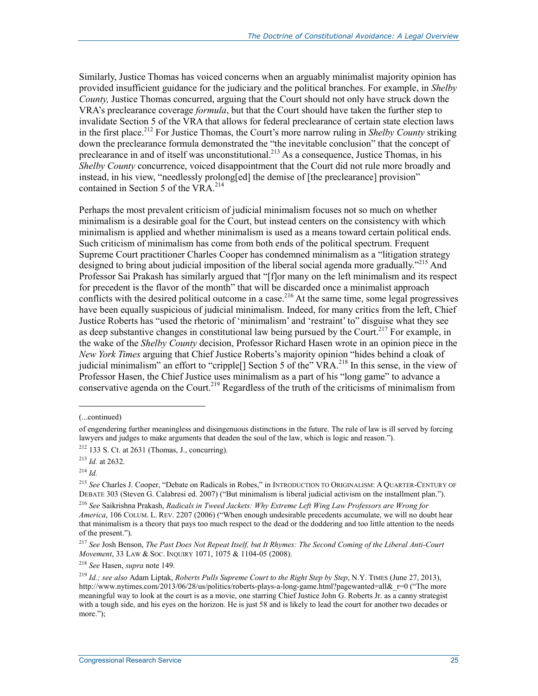Similarly, Justice Thomas has voiced concerns when an arguably minimalist majority opinion has provided insufficient guidance for the judiciary and the political branches. For example, in *Shelby County,* Justice Thomas concurred, arguing that the Court should not only have struck down the VRA's preclearance coverage *formula*, but that the Court should have taken the further step to invalidate Section 5 of the VRA that allows for federal preclearance of certain state election laws in the first place.212 For Justice Thomas, the Court's more narrow ruling in *Shelby County* striking down the preclearance formula demonstrated the "the inevitable conclusion" that the concept of preclearance in and of itself was unconstitutional.<sup>213</sup> As a consequence, Justice Thomas, in his *Shelby County* concurrence, voiced disappointment that the Court did not rule more broadly and instead, in his view, "needlessly prolong[ed] the demise of [the preclearance] provision" contained in Section 5 of the VRA  $^{214}$ 

Perhaps the most prevalent criticism of judicial minimalism focuses not so much on whether minimalism is a desirable goal for the Court, but instead centers on the consistency with which minimalism is applied and whether minimalism is used as a means toward certain political ends. Such criticism of minimalism has come from both ends of the political spectrum. Frequent Supreme Court practitioner Charles Cooper has condemned minimalism as a "litigation strategy designed to bring about judicial imposition of the liberal social agenda more gradually."<sup>215</sup> And Professor Sai Prakash has similarly argued that "[f]or many on the left minimalism and its respect for precedent is the flavor of the month" that will be discarded once a minimalist approach conflicts with the desired political outcome in a case.<sup>216</sup> At the same time, some legal progressives have been equally suspicious of judicial minimalism. Indeed, for many critics from the left, Chief Justice Roberts has "used the rhetoric of 'minimalism' and 'restraint' to" disguise what they see as deep substantive changes in constitutional law being pursued by the Court.<sup>217</sup> For example, in the wake of the *Shelby County* decision, Professor Richard Hasen wrote in an opinion piece in the *New York Times* arguing that Chief Justice Roberts's majority opinion "hides behind a cloak of judicial minimalism" an effort to "cripple<sup>[]</sup> Section 5 of the" VRA.<sup>218</sup> In this sense, in the view of Professor Hasen, the Chief Justice uses minimalism as a part of his "long game" to advance a conservative agenda on the Court.<sup>219</sup> Regardless of the truth of the criticisms of minimalism from

<sup>(...</sup>continued)

of engendering further meaningless and disingenuous distinctions in the future. The rule of law is ill served by forcing lawyers and judges to make arguments that deaden the soul of the law, which is logic and reason.").

 $212$  133 S. Ct. at 2631 (Thomas, J., concurring).

<sup>213</sup> *Id.* at 2632.

<sup>214</sup> *Id.*

<sup>215</sup> *See* Charles J. Cooper, "Debate on Radicals in Robes," in INTRODUCTION TO ORIGINALISM: A QUARTER-CENTURY OF DEBATE 303 (Steven G. Calabresi ed. 2007) ("But minimalism is liberal judicial activism on the installment plan.").

<sup>216</sup> *See* Saikrishna Prakash, *Radicals in Tweed Jackets: Why Extreme Left Wing Law Professors are Wrong for America*, 106 COLUM. L. REV. 2207 (2006) ("When enough undesirable precedents accumulate, we will no doubt hear that minimalism is a theory that pays too much respect to the dead or the doddering and too little attention to the needs of the present.").

<sup>217</sup> *See* Josh Benson, *The Past Does Not Repeat Itself, but It Rhymes: The Second Coming of the Liberal Anti-Court Movement*, 33 LAW & SOC. INQUIRY 1071, 1075 & 1104-05 (2008).

<sup>218</sup> *See* Hasen, *supra* note 149.

<sup>219</sup> *Id.; see also* Adam Liptak, *Roberts Pulls Supreme Court to the Right Step by Step*, N.Y. TIMES (June 27, 2013), http://www.nytimes.com/2013/06/28/us/politics/roberts-plays-a-long-game.html?pagewanted=all&r=0 ("The more meaningful way to look at the court is as a movie, one starring Chief Justice John G. Roberts Jr. as a canny strategist with a tough side, and his eyes on the horizon. He is just 58 and is likely to lead the court for another two decades or more.");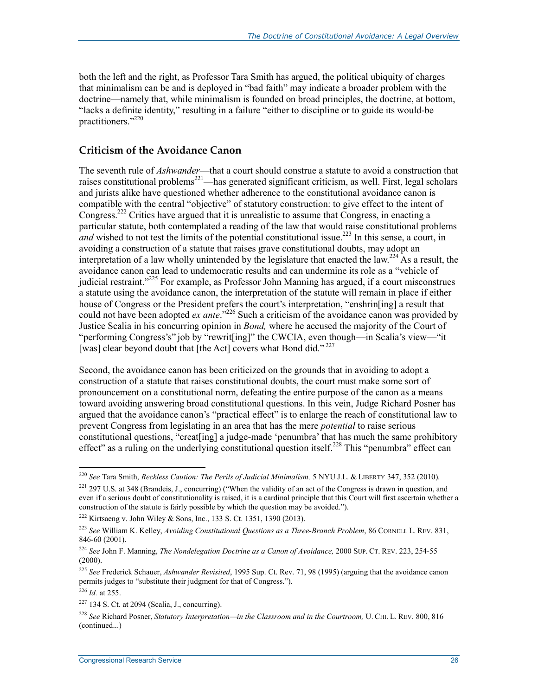both the left and the right, as Professor Tara Smith has argued, the political ubiquity of charges that minimalism can be and is deployed in "bad faith" may indicate a broader problem with the doctrine—namely that, while minimalism is founded on broad principles, the doctrine, at bottom, "lacks a definite identity," resulting in a failure "either to discipline or to guide its would-be practitioners."220

#### **Criticism of the Avoidance Canon**

The seventh rule of *Ashwander*—that a court should construe a statute to avoid a construction that raises constitutional problems<sup>221</sup>—has generated significant criticism, as well. First, legal scholars and jurists alike have questioned whether adherence to the constitutional avoidance canon is compatible with the central "objective" of statutory construction: to give effect to the intent of Congress.<sup>222</sup> Critics have argued that it is unrealistic to assume that Congress, in enacting a particular statute, both contemplated a reading of the law that would raise constitutional problems *and* wished to not test the limits of the potential constitutional issue.<sup>223</sup> In this sense, a court, in avoiding a construction of a statute that raises grave constitutional doubts, may adopt an interpretation of a law wholly unintended by the legislature that enacted the law.<sup>224</sup> As a result, the avoidance canon can lead to undemocratic results and can undermine its role as a "vehicle of judicial restraint.<sup>225</sup> For example, as Professor John Manning has argued, if a court misconstrues a statute using the avoidance canon, the interpretation of the statute will remain in place if either house of Congress or the President prefers the court's interpretation, "enshrin[ing] a result that could not have been adopted *ex ante*."<sup>226</sup> Such a criticism of the avoidance canon was provided by Justice Scalia in his concurring opinion in *Bond,* where he accused the majority of the Court of "performing Congress's" job by "rewrit[ing]" the CWCIA, even though—in Scalia's view—"it [was] clear beyond doubt that [the Act] covers what Bond did."<sup>227</sup>

Second, the avoidance canon has been criticized on the grounds that in avoiding to adopt a construction of a statute that raises constitutional doubts, the court must make some sort of pronouncement on a constitutional norm, defeating the entire purpose of the canon as a means toward avoiding answering broad constitutional questions. In this vein, Judge Richard Posner has argued that the avoidance canon's "practical effect" is to enlarge the reach of constitutional law to prevent Congress from legislating in an area that has the mere *potential* to raise serious constitutional questions, "creat[ing] a judge-made 'penumbra' that has much the same prohibitory effect" as a ruling on the underlying constitutional question itself.<sup>228</sup> This "penumbra" effect can

<u>.</u>

<sup>220</sup> *See* Tara Smith, *Reckless Caution: The Perils of Judicial Minimalism,* 5 NYU J.L. & LIBERTY 347, 352 (2010).

<sup>&</sup>lt;sup>221</sup> 297 U.S. at 348 (Brandeis, J., concurring) ("When the validity of an act of the Congress is drawn in question, and even if a serious doubt of constitutionality is raised, it is a cardinal principle that this Court will first ascertain whether a construction of the statute is fairly possible by which the question may be avoided.").

<sup>222</sup> Kirtsaeng v. John Wiley & Sons, Inc., 133 S. Ct. 1351, 1390 (2013).

<sup>223</sup> *See* William K. Kelley, *Avoiding Constitutional Questions as a Three-Branch Problem*, 86 CORNELL L. REV. 831, 846-60 (2001).

<sup>224</sup> *See* John F. Manning, *The Nondelegation Doctrine as a Canon of Avoidance,* 2000 SUP. CT. REV. 223, 254-55  $(2000).$ 

<sup>225</sup> *See* Frederick Schauer, *Ashwander Revisited*, 1995 Sup. Ct. Rev. 71, 98 (1995) (arguing that the avoidance canon permits judges to "substitute their judgment for that of Congress.").

<sup>226</sup> *Id.* at 255.

 $227$  134 S. Ct. at 2094 (Scalia, J., concurring).

<sup>228</sup> *See* Richard Posner, *Statutory Interpretation—in the Classroom and in the Courtroom,* U. CHI. L. REV. 800, 816 (continued...)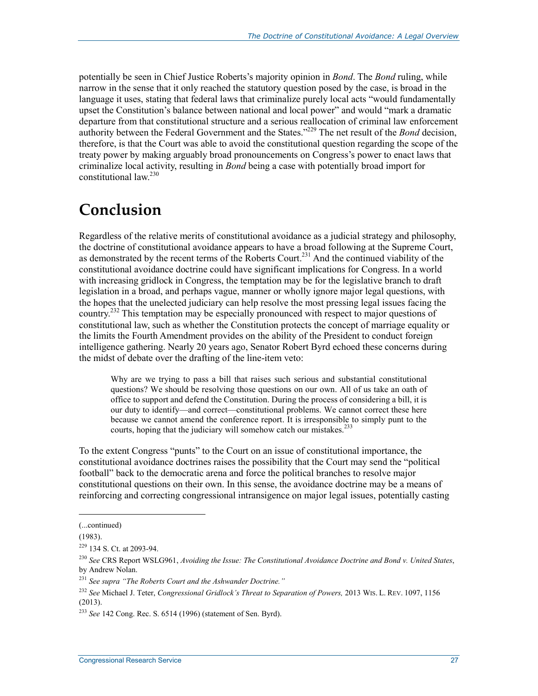potentially be seen in Chief Justice Roberts's majority opinion in *Bond*. The *Bond* ruling, while narrow in the sense that it only reached the statutory question posed by the case, is broad in the language it uses, stating that federal laws that criminalize purely local acts "would fundamentally upset the Constitution's balance between national and local power" and would "mark a dramatic departure from that constitutional structure and a serious reallocation of criminal law enforcement authority between the Federal Government and the States."229 The net result of the *Bond* decision, therefore, is that the Court was able to avoid the constitutional question regarding the scope of the treaty power by making arguably broad pronouncements on Congress's power to enact laws that criminalize local activity, resulting in *Bond* being a case with potentially broad import for constitutional law.230

# **Conclusion**

Regardless of the relative merits of constitutional avoidance as a judicial strategy and philosophy, the doctrine of constitutional avoidance appears to have a broad following at the Supreme Court, as demonstrated by the recent terms of the Roberts Court.<sup>231</sup> And the continued viability of the constitutional avoidance doctrine could have significant implications for Congress. In a world with increasing gridlock in Congress, the temptation may be for the legislative branch to draft legislation in a broad, and perhaps vague, manner or wholly ignore major legal questions, with the hopes that the unelected judiciary can help resolve the most pressing legal issues facing the country.<sup>232</sup> This temptation may be especially pronounced with respect to major questions of constitutional law, such as whether the Constitution protects the concept of marriage equality or the limits the Fourth Amendment provides on the ability of the President to conduct foreign intelligence gathering. Nearly 20 years ago, Senator Robert Byrd echoed these concerns during the midst of debate over the drafting of the line-item veto:

Why are we trying to pass a bill that raises such serious and substantial constitutional questions? We should be resolving those questions on our own. All of us take an oath of office to support and defend the Constitution. During the process of considering a bill, it is our duty to identify—and correct—constitutional problems. We cannot correct these here because we cannot amend the conference report. It is irresponsible to simply punt to the courts, hoping that the judiciary will somehow catch our mistakes.<sup>233</sup>

To the extent Congress "punts" to the Court on an issue of constitutional importance, the constitutional avoidance doctrines raises the possibility that the Court may send the "political football" back to the democratic arena and force the political branches to resolve major constitutional questions on their own. In this sense, the avoidance doctrine may be a means of reinforcing and correcting congressional intransigence on major legal issues, potentially casting

 $\overline{\phantom{a}}$ 

<sup>(...</sup>continued)

<sup>(1983).</sup> 

<sup>229 134</sup> S. Ct. at 2093-94.

<sup>230</sup> *See* CRS Report WSLG961, *Avoiding the Issue: The Constitutional Avoidance Doctrine and Bond v. United States*, by Andrew Nolan.

<sup>231</sup> *See supra "The Roberts Court and the Ashwander Doctrine."*

<sup>232</sup> *See* Michael J. Teter, *Congressional Gridlock's Threat to Separation of Powers,* 2013 WIS. L. REV. 1097, 1156 (2013).

<sup>233</sup> *See* 142 Cong. Rec. S. 6514 (1996) (statement of Sen. Byrd).